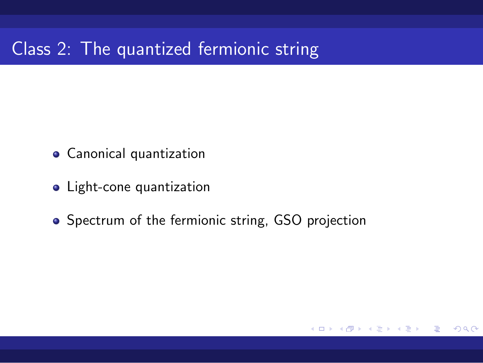# Class 2: The quantized fermionic string

- Canonical quantization
- Light-cone quantization
- Spectrum of the fermionic string, GSO projection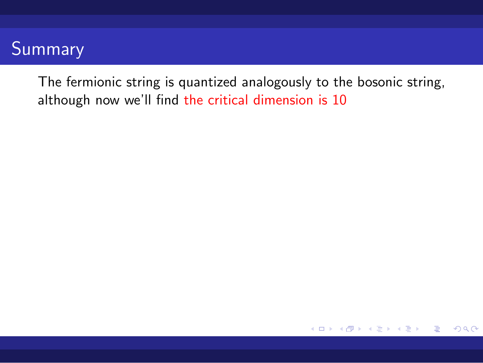The fermionic string is quantized analogously to the bosonic string, although now we'll find the critical dimension is 10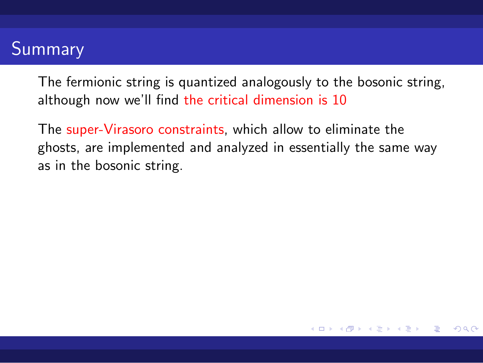The fermionic string is quantized analogously to the bosonic string, although now we'll find the critical dimension is 10

The super-Virasoro constraints, which allow to eliminate the ghosts, are implemented and analyzed in essentially the same way as in the bosonic string.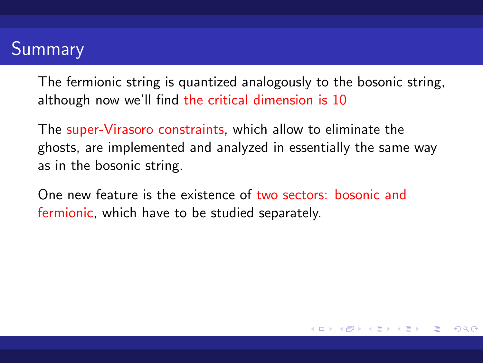The fermionic string is quantized analogously to the bosonic string, although now we'll find the critical dimension is 10

The super-Virasoro constraints, which allow to eliminate the ghosts, are implemented and analyzed in essentially the same way as in the bosonic string.

One new feature is the existence of two sectors: bosonic and fermionic, which have to be studied separately.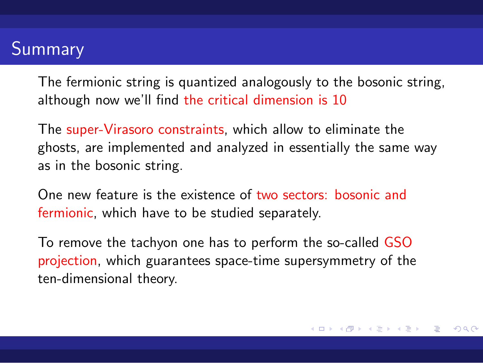The fermionic string is quantized analogously to the bosonic string, although now we'll find the critical dimension is 10

The super-Virasoro constraints, which allow to eliminate the ghosts, are implemented and analyzed in essentially the same way as in the bosonic string.

One new feature is the existence of two sectors: bosonic and fermionic, which have to be studied separately.

To remove the tachyon one has to perform the so-called GSO projection, which guarantees space-time supersymmetry of the ten-dimensional theory.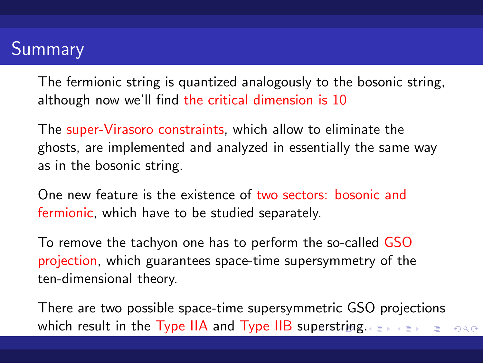The fermionic string is quantized analogously to the bosonic string, although now we'll find the critical dimension is 10

The super-Virasoro constraints, which allow to eliminate the ghosts, are implemented and analyzed in essentially the same way as in the bosonic string.

One new feature is the existence of two sectors: bosonic and fermionic, which have to be studied separately.

To remove the tachyon one has to perform the so-called GSO projection, which guarantees space-time supersymmetry of the ten-dimensional theory.

which result in the Type IIA and Type IIB superstring. There are two possible space-time supersymmetric GSO projections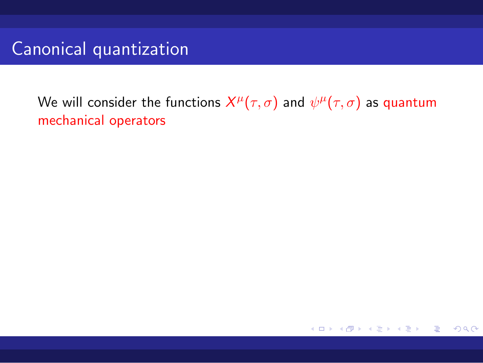We will consider the functions  $X^{\mu}(\tau, \sigma)$  and  $\psi^{\mu}(\tau, \sigma)$  as quantum mechanical operators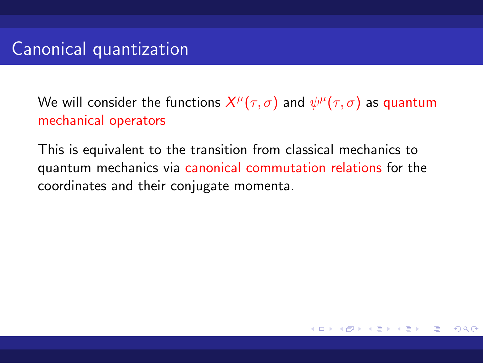We will consider the functions  $X^{\mu}(\tau, \sigma)$  and  $\psi^{\mu}(\tau, \sigma)$  as quantum mechanical operators

This is equivalent to the transition from classical mechanics to quantum mechanics via canonical commutation relations for the coordinates and their conjugate momenta.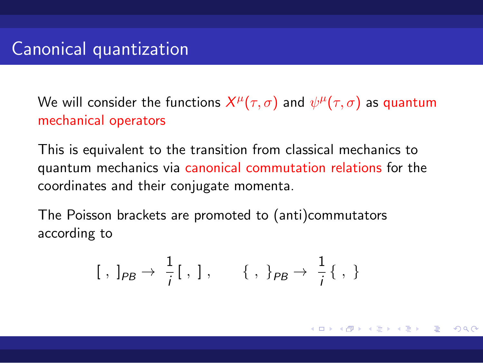We will consider the functions  $X^{\mu}(\tau, \sigma)$  and  $\psi^{\mu}(\tau, \sigma)$  as quantum mechanical operators

This is equivalent to the transition from classical mechanics to quantum mechanics via canonical commutation relations for the coordinates and their conjugate momenta.

The Poisson brackets are promoted to (anti)commutators according to

$$
[ \ , \ ]_{PB} \rightarrow \ \frac{1}{i} [ \ , \ ] \ , \qquad \{ \ , \ \}_{PB} \rightarrow \ \frac{1}{i} \{ \ , \ \}
$$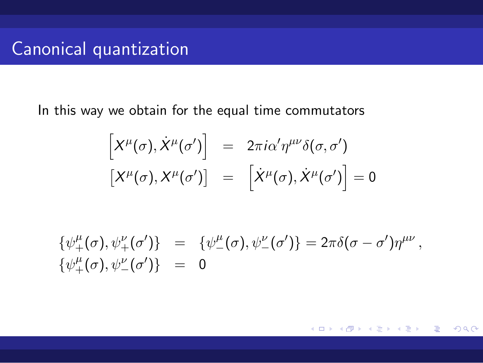In this way we obtain for the equal time commutators

$$
\begin{bmatrix} X^{\mu}(\sigma), \dot{X}^{\mu}(\sigma') \end{bmatrix} = 2\pi i \alpha' \eta^{\mu\nu} \delta(\sigma, \sigma')
$$

$$
\begin{bmatrix} X^{\mu}(\sigma), X^{\mu}(\sigma') \end{bmatrix} = \begin{bmatrix} \dot{X}^{\mu}(\sigma), \dot{X}^{\mu}(\sigma') \end{bmatrix} = 0
$$

$$
\{\psi^{\mu}_{+}(\sigma), \psi^{\nu}_{+}(\sigma')\} = \{\psi^{\mu}_{-}(\sigma), \psi^{\nu}_{-}(\sigma')\} = 2\pi\delta(\sigma - \sigma')\eta^{\mu\nu}, \{\psi^{\mu}_{+}(\sigma), \psi^{\nu}_{-}(\sigma')\} = 0
$$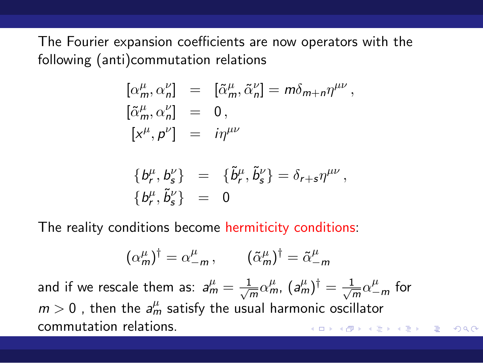The Fourier expansion coefficients are now operators with the following (anti)commutation relations

$$
\begin{aligned}\n[\alpha_m^\mu, \alpha_n^\nu] &= [\tilde{\alpha}_m^\mu, \tilde{\alpha}_n^\nu] = m \delta_{m+n} \eta^{\mu\nu}, \\
[\tilde{\alpha}_m^\mu, \alpha_n^\nu] &= 0, \\
[x^\mu, p^\nu] &= i \eta^{\mu\nu} \\
\{\phi_r^\mu, b_s^\nu\} &= \{\tilde{b}_r^\mu, \tilde{b}_s^\nu\} = \delta_{r+s} \eta^{\mu\nu}, \\
\{\phi_r^\mu, \tilde{b}_s^\nu\} &= 0\n\end{aligned}
$$

The reality conditions become hermiticity conditions:

$$
(\alpha_m^{\mu})^{\dagger} = \alpha_{-m}^{\mu} , \qquad (\tilde{\alpha}_m^{\mu})^{\dagger} = \tilde{\alpha}_{-m}^{\mu}
$$

. . . . . . . . . . . . . . . . . . . . . . . . . . . . . . . . . . . . . . . . and if we rescale them as:  $a_m^{\mu} = \frac{1}{\sqrt{a}}$  $\frac{1}{m}\alpha^{\mu}_{m}, \, (a^{\mu}_{m})^{\dagger} = \frac{1}{\sqrt{n}}$  $\frac{1}{\overline{m}}\alpha_{-m}^{\mu}$  for  $m > 0$  , then the  $a_m^{\mu}$  satisfy the usual harmonic oscillator commutation relations.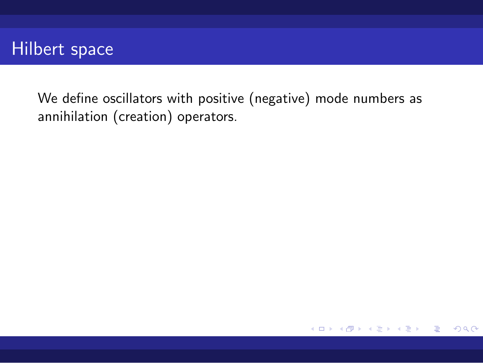We define oscillators with positive (negative) mode numbers as annihilation (creation) operators.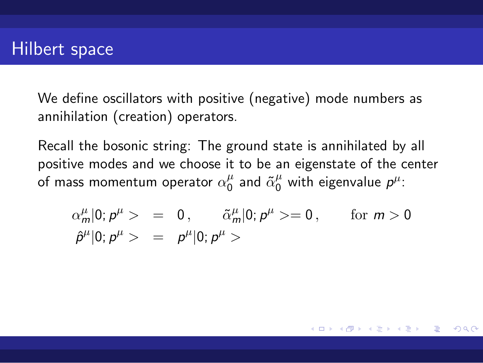We define oscillators with positive (negative) mode numbers as annihilation (creation) operators.

Recall the bosonic string: The ground state is annihilated by all positive modes and we choose it to be an eigenstate of the center .<br>of mass momentum operator  $\alpha^\mu_0$  $\frac{\mu}{0}$  and  $\tilde{\alpha}_0^{\mu}$  with eigenvalue  $p^{\mu}$ :

$$
\alpha_m^{\mu}|0; p^{\mu} > = 0, \qquad \tilde{\alpha}_m^{\mu}|0; p^{\mu} > = 0, \qquad \text{for } m > 0
$$
  

$$
\hat{p}^{\mu}|0; p^{\mu} > = p^{\mu}|0; p^{\mu} >
$$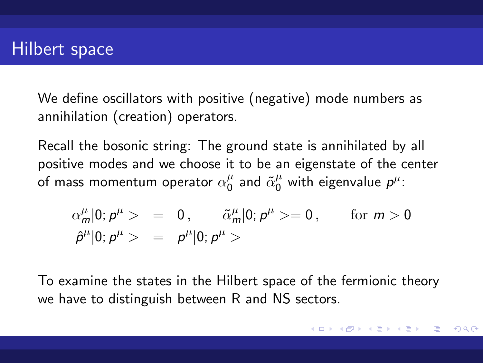We define oscillators with positive (negative) mode numbers as annihilation (creation) operators.

Recall the bosonic string: The ground state is annihilated by all positive modes and we choose it to be an eigenstate of the center .<br>of mass momentum operator  $\alpha^\mu_0$  $\frac{\mu}{0}$  and  $\tilde{\alpha}_0^{\mu}$  with eigenvalue  $p^{\mu}$ :

$$
\alpha_m^{\mu}|0; p^{\mu} > = 0, \qquad \tilde{\alpha}_m^{\mu}|0; p^{\mu} > = 0, \qquad \text{for } m > 0
$$
  

$$
\hat{p}^{\mu}|0; p^{\mu} > = p^{\mu}|0; p^{\mu} >
$$

To examine the states in the Hilbert space of the fermionic theory we have to distinguish between R and NS sectors.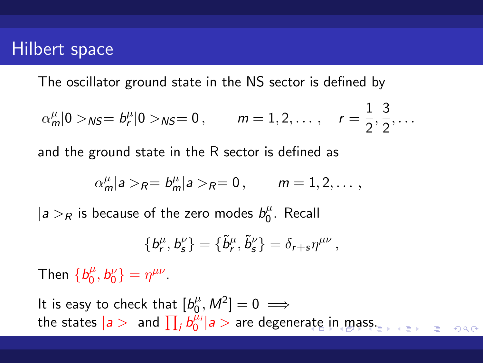The oscillator ground state in the NS sector is defined by

$$
\alpha_m^{\mu} |0\rangle_{NS} = b_r^{\mu} |0\rangle_{NS} = 0
$$
,  $m = 1, 2, ..., r = \frac{1}{2}, \frac{3}{2}, ...$ 

and the ground state in the R sector is defined as

$$
\alpha_m^{\mu}|a\rangle_R = b_m^{\mu}|a\rangle_R = 0, \qquad m = 1, 2, \ldots,
$$

 $|a>$ *R* is because of the zero modes  $b_0^{\mu}$  $\int_0^\mu$ . Recall

$$
\{b_r^{\mu},b_s^{\nu}\}=\{\tilde{b}_r^{\mu},\tilde{b}_s^{\nu}\}=\delta_{r+s}\eta^{\mu\nu}\,,
$$

Then  ${b_0^{\mu}}$  $b_0^{\mu}, b_0^{\nu}$ } =  $\eta^{\mu\nu}$ .

. . . . . . . . . . . . . . . . . . . . . . . . . . . . . . . . . . . . . . . . It is easy to check that  $[b_0^\mu]$  $\binom{\mu}{0}, M^2]=0 \implies$ the states  $|a>$  and  $\prod_{i}b_0^{\mu_i}|a>$  are degenerate in mass.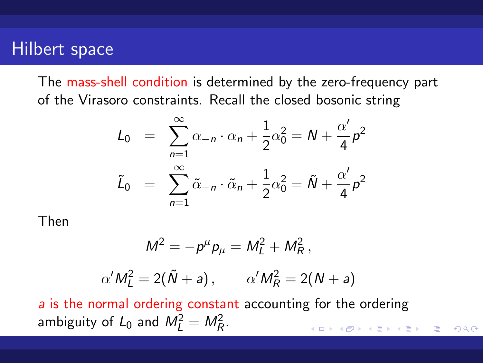The mass-shell condition is determined by the zero-frequency part of the Virasoro constraints. Recall the closed bosonic string

$$
L_0 = \sum_{n=1}^{\infty} \alpha_{-n} \cdot \alpha_n + \frac{1}{2} \alpha_0^2 = N + \frac{\alpha'}{4} p^2
$$
  

$$
\tilde{L}_0 = \sum_{n=1}^{\infty} \tilde{\alpha}_{-n} \cdot \tilde{\alpha}_n + \frac{1}{2} \alpha_0^2 = \tilde{N} + \frac{\alpha'}{4} p^2
$$

Then

$$
M^2 = - \rho^\mu \rho_\mu = M_L^2 + M_R^2 \,,
$$

$$
\alpha'M_L^2=2(\tilde{N}+a),\qquad \alpha'M_R^2=2(N+a)
$$

 $\begin{aligned} \left\{ \begin{array}{c} \left( \begin{array}{c} 1 \end{array} \right) \left( \begin{array}{c} 1 \end{array} \right) \left( \begin{array}{c} 1 \end{array} \right) \left( \begin{array}{c} 1 \end{array} \right) \left( \begin{array}{c} 1 \end{array} \right) \left( \begin{array}{c} 1 \end{array} \right) \left( \begin{array}{c} 1 \end{array} \right) \left( \begin{array}{c} 1 \end{array} \right) \left( \begin{array}{c} 1 \end{array} \right) \left( \begin{array}{c} 1 \end{array} \right) \left( \$  $\blacksquare$  . 990 *a* is the normal ordering constant accounting for the ordering ambiguity of  $L_0$  and  $M_L^2 = M_R^2$ .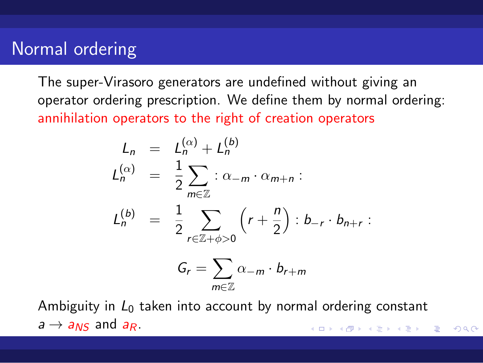### Normal ordering

The super-Virasoro generators are undefined without giving an operator ordering prescription. We define them by normal ordering: annihilation operators to the right of creation operators

$$
L_n = L_n^{(\alpha)} + L_n^{(b)}
$$
  
\n
$$
L_n^{(\alpha)} = \frac{1}{2} \sum_{m \in \mathbb{Z}} \, : \, \alpha_{-m} \cdot \alpha_{m+n} :
$$
  
\n
$$
L_n^{(b)} = \frac{1}{2} \sum_{r \in \mathbb{Z} + \phi > 0} \left( r + \frac{n}{2} \right) : b_{-r} \cdot b_{n+r} :
$$
  
\n
$$
G_r = \sum_{m \in \mathbb{Z}} \alpha_{-m} \cdot b_{r+m}
$$

. . . . . . . . . . . . . . . . . . . . . . . . . . . . . . . . . . . . . . . . Ambiguity in  $L_0$  taken into account by normal ordering constant  $a \rightarrow a_{NS}$  and  $a_R$ .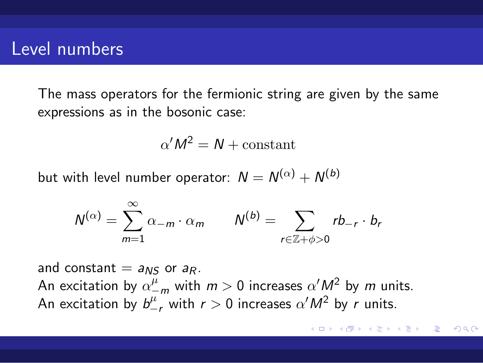### Level numbers

The mass operators for the fermionic string are given by the same expressions as in the bosonic case:

$$
\alpha'M^2 = N + \text{constant}
$$

but with level number operator:  $N=N^{(\alpha)}+N^{(b)}$ 

$$
N^{(\alpha)} = \sum_{m=1}^{\infty} \alpha_{-m} \cdot \alpha_m \qquad N^{(b)} = \sum_{r \in \mathbb{Z} + \phi > 0} r b_{-r} \cdot b_r
$$

and constant  $= a_{NS}$  or  $a_R$ .

An excitation by  $\alpha_{-m}^{\mu}$  with  $m > 0$  increases  $\alpha' M^2$  by  $m$  units. An excitation by  $b^{\mu}_{-r}$  with  $r > 0$  increases  $\alpha' M^2$  by *r* units.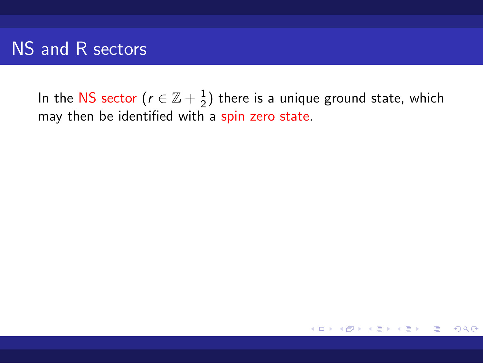In the NS sector ( $r \in \mathbb{Z}+\frac{1}{2}$  $\frac{1}{2}$ ) there is a unique ground state, which may then be identified with a spin zero state.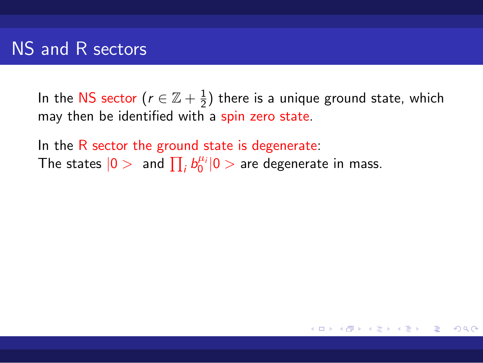In the NS sector ( $r \in \mathbb{Z}+\frac{1}{2}$  $\frac{1}{2}$ ) there is a unique ground state, which may then be identified with a spin zero state.

In the R sector the ground state is degenerate: The states  $|0>$  and  $\prod_{i} b_0^{\mu_i}|0>$  are degenerate in mass.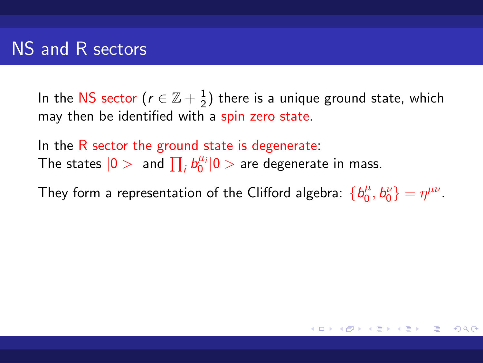In the NS sector ( $r \in \mathbb{Z}+\frac{1}{2}$  $\frac{1}{2}$ ) there is a unique ground state, which may then be identified with a spin zero state.

In the R sector the ground state is degenerate: The states  $|0>$  and  $\prod_{i} b_0^{\mu_i}|0>$  are degenerate in mass.

They form a representation of the Clifford algebra:  ${b_0^{\mu}}$  $\binom{\mu}{0}, b^{\nu}_{0}$  =  $\eta^{\mu\nu}$ .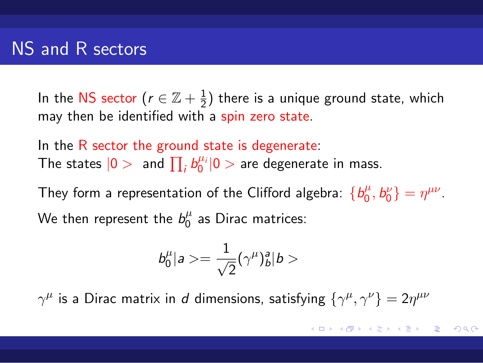In the NS sector ( $r \in \mathbb{Z}+\frac{1}{2}$  $\frac{1}{2}$ ) there is a unique ground state, which may then be identified with a spin zero state.

In the R sector the ground state is degenerate: The states  $|0>$  and  $\prod_{i} b_0^{\mu_i}|0>$  are degenerate in mass.

They form a representation of the Clifford algebra:  ${b_0^{\mu}}$  $\binom{\mu}{0}, b^{\nu}_{0}$  =  $\eta^{\mu\nu}$ . We then represent the  $b^{\mu}_{0}$  $\frac{\mu}{0}$  as Dirac matrices:

$$
b^\mu_0|a>=\frac{1}{\sqrt{2}}(\gamma^\mu)^a_b|b>
$$

 $γ^{\mu}$  is a Dirac matrix in *d* dimensions, satisfying  ${γ^{\mu}, γ^{\nu}} = 2η^{\mu\nu}$ 

. . . . . . . . . . . . . . . . . . . . . . . . . . . . . . . . . . . . . . .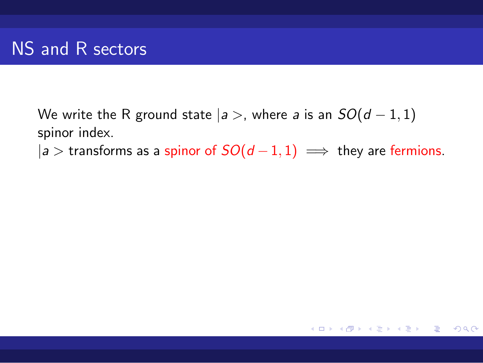We write the R ground state  $|a>$ , where *a* is an  $SO(d-1,1)$ spinor index.

 $|a>$  transforms as a spinor of  $SO(d-1,1) \implies$  they are fermions.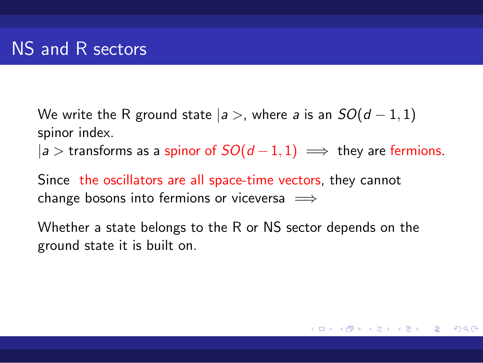We write the R ground state  $|a>$ , where *a* is an  $SO(d-1,1)$ spinor index.

 $|a>$  transforms as a spinor of  $SO(d-1,1) \implies$  they are fermions.

Since the oscillators are all space-time vectors, they cannot change bosons into fermions or viceversa =*⇒*

Whether a state belongs to the R or NS sector depends on the ground state it is built on.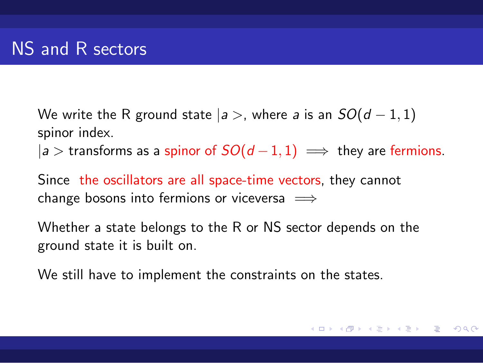We write the R ground state  $|a>$ , where *a* is an  $SO(d-1,1)$ spinor index.

 $|a>$  transforms as a spinor of  $SO(d-1,1) \implies$  they are fermions.

Since the oscillators are all space-time vectors, they cannot change bosons into fermions or viceversa =*⇒*

Whether a state belongs to the R or NS sector depends on the ground state it is built on.

We still have to implement the constraints on the states.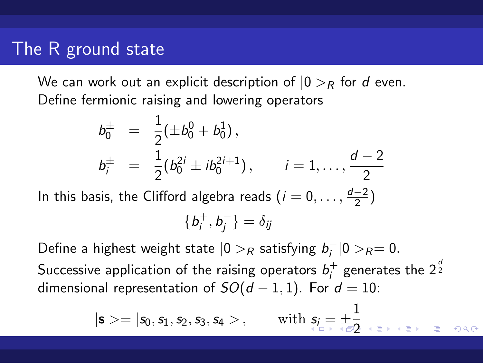### The R ground state

We can work out an explicit description of  $|0\rangle_R$  for *d* even. Define fermionic raising and lowering operators

$$
b_0^{\pm} = \frac{1}{2} (\pm b_0^0 + b_0^1),
$$
  
\n
$$
b_i^{\pm} = \frac{1}{2} (b_0^{2i} \pm ib_0^{2i+1}), \qquad i = 1, ..., \frac{d-2}{2}
$$

In this basis, the Clifford algebra reads  $(i = 0, \ldots, \frac{d-2}{2})$ 

$$
\{b_i^+,b_j^-\}=\delta_{ij}
$$

Define a highest weight state  $|0>$ *R* satisfying  $b_i^-|0>$ *R*= 0*.* Successive application of the raising operators  $b_i^+$  $i^+$  generates the 2 $\frac{d}{2}$ dimensional representation of  $SO(d-1,1)$ . For  $d=10$ :

$$
|s>=|s_0,s_1,s_2,s_3,s_4>, \qquad \text{with} \ \ s_i=\pm \frac{1}{2} \quad \text{as} \quad \text{as} \quad s_1 \in \mathbb{R}^3 \quad \text{as} \quad s_2 \in \mathbb{R}^3.
$$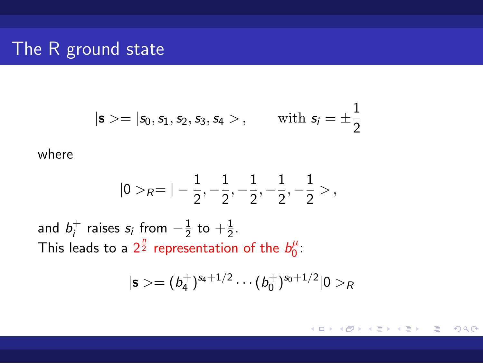# The R ground state

$$
|s>=[s_0,s_1,s_2,s_3,s_4>, \quad \text{with } s_i=\pm\frac{1}{2}
$$

where

$$
|0>_R = |-\frac{1}{2}, -\frac{1}{2}, -\frac{1}{2}, -\frac{1}{2}, -\frac{1}{2}>,
$$

and  $b_i^+$  $i$ <sup>+</sup> raises *s<sub>i</sub>* from  $-\frac{1}{2}$  $\frac{1}{2}$  to  $+\frac{1}{2}$ . This leads to a  $2^{\frac{n}{2}}$  representation of the  $b^{\mu}_{0}$  $\int_0^\mu$ 

$$
|\mathbf{s} > = (b_4^+)^{s_4+1/2} \cdots (b_0^+)^{s_0+1/2} |0>_R
$$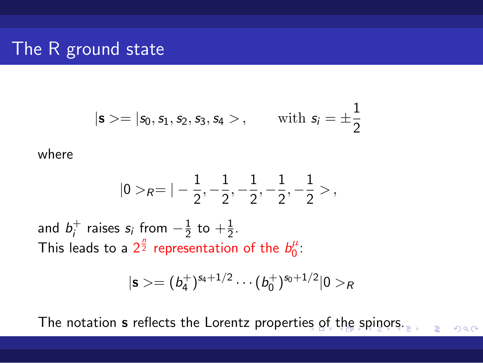# The R ground state

$$
|s\rangle = |s_0, s_1, s_2, s_3, s_4\rangle, \quad \text{with } s_i = \pm \frac{1}{2}
$$

where

$$
|0>_R = |-\frac{1}{2},-\frac{1}{2},-\frac{1}{2},-\frac{1}{2},-\frac{1}{2}> ,
$$

and  $b_i^+$  $i$ <sup>+</sup> raises *s<sub>i</sub>* from  $-\frac{1}{2}$  $\frac{1}{2}$  to  $+\frac{1}{2}$ . This leads to a  $2^{\frac{n}{2}}$  representation of the  $b^{\mu}_{0}$  $\int_0^\mu$ 

$$
|\mathbf{s}>=(b_4^+)^{s_4+1/2}\cdots (b_0^+)^{s_0+1/2}|0>_R
$$

The notation **s** reflects the Lorentz properties of the spinors. Fig. The song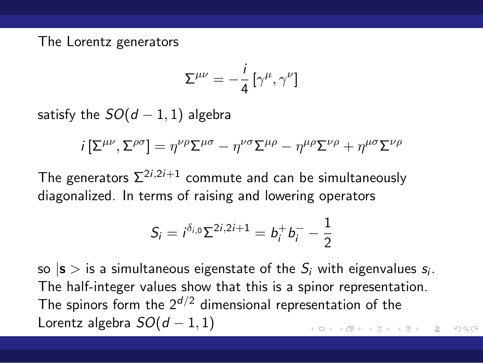The Lorentz generators

$$
\Sigma^{\mu\nu}=-\frac{i}{4}\left[\gamma^\mu,\gamma^\nu\right]
$$

satisfy the  $SO(d-1,1)$  algebra

$$
i\left[\Sigma^{\mu\nu},\Sigma^{\rho\sigma}\right]=\eta^{\nu\rho}\Sigma^{\mu\sigma}-\eta^{\nu\sigma}\Sigma^{\mu\rho}-\eta^{\mu\rho}\Sigma^{\nu\rho}+\eta^{\mu\sigma}\Sigma^{\nu\rho}
$$

The generators  $\Sigma^{2i,2i+1}$  commute and can be simultaneously diagonalized. In terms of raising and lowering operators

$$
S_i = i^{\delta_{i,0}} \Sigma^{2i,2i+1} = b_i^+ b_i^- - \frac{1}{2}
$$

. . . . . . . . . . . . . . . . . . . . . . . . . . . . . . . . . . . . . . . so  $|\mathbf{s}>\text{is a simultaneous eigenstate of the }S_i$  with eigenvalues  $s_i$ . The half-integer values show that this is a spinor representation. The spinors form the 2*d/*<sup>2</sup> dimensional representation of the Lorentz algebra *SO*(*d −* 1*,* 1)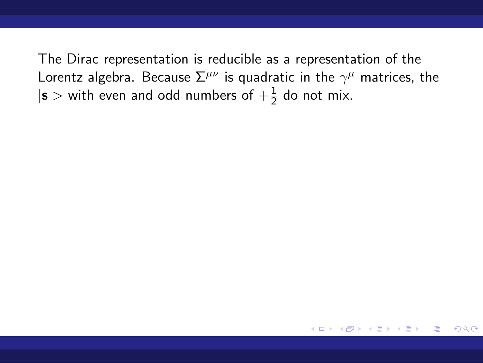The Dirac representation is reducible as a representation of the Lorentz algebra. Because  $\Sigma^{\mu\nu}$  is quadratic in the  $\gamma^\mu$  matrices, the  $|\mathbf{s}$   $>$  with even and odd numbers of  $+\frac{1}{2}$  do not mix.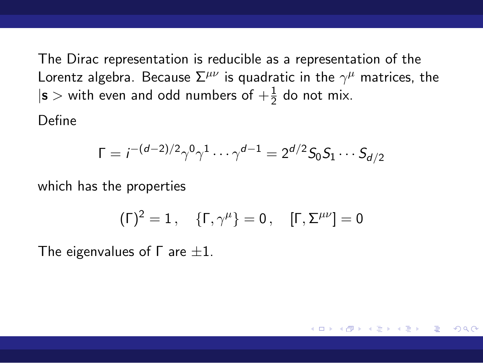The Dirac representation is reducible as a representation of the Lorentz algebra. Because  $\Sigma^{\mu\nu}$  is quadratic in the  $\gamma^\mu$  matrices, the  $|\mathbf{s}$   $>$  with even and odd numbers of  $+\frac{1}{2}$  do not mix.

Define

$$
\Gamma = i^{-(d-2)/2} \gamma^0 \gamma^1 \cdots \gamma^{d-1} = 2^{d/2} S_0 S_1 \cdots S_{d/2}
$$

which has the properties

$$
(\Gamma)^2=1\,,\quad \{\Gamma,\gamma^\mu\}=0\,,\quad [\Gamma,\Sigma^{\mu\nu}]=0
$$

The eigenvalues of Γ are *±*1.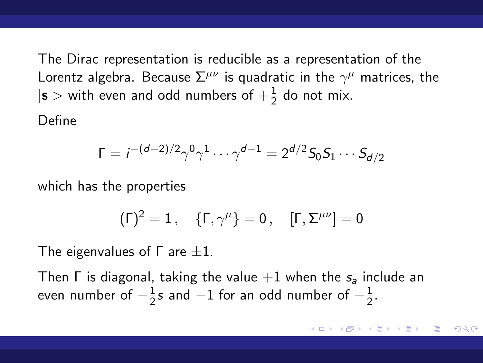The Dirac representation is reducible as a representation of the Lorentz algebra. Because  $\Sigma^{\mu\nu}$  is quadratic in the  $\gamma^\mu$  matrices, the  $|\mathbf{s}| > 2$  with even and odd numbers of  $+\frac{1}{2}$  do not mix.

Define

$$
\Gamma = i^{-(d-2)/2} \gamma^0 \gamma^1 \cdots \gamma^{d-1} = 2^{d/2} S_0 S_1 \cdots S_{d/2}
$$

which has the properties

$$
(\Gamma)^2=1\,,\quad \{\Gamma,\gamma^\mu\}=0\,,\quad [\Gamma,\Sigma^{\mu\nu}]=0
$$

The eigenvalues of Γ are *±*1.

Then Γ is diagonal, taking the value +1 when the *s<sup>a</sup>* include an even number of *−* 1 2 *s* and *−*1 for an odd number of *−* 1  $\frac{1}{2}$ .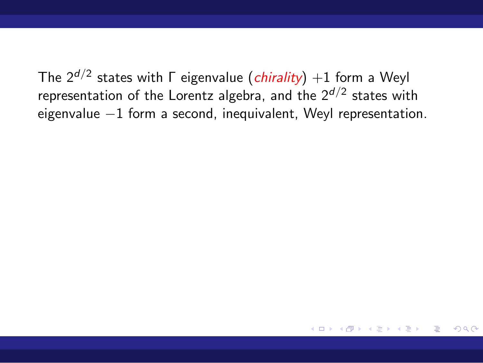The 2*d/*<sup>2</sup> states with Γ eigenvalue (*chirality*) +1 form a Weyl representation of the Lorentz algebra, and the 2*d/*<sup>2</sup> states with eigenvalue *−*1 form a second, inequivalent, Weyl representation.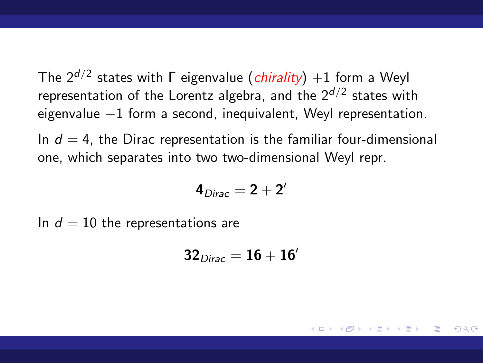The 2*d/*<sup>2</sup> states with Γ eigenvalue (*chirality*) +1 form a Weyl representation of the Lorentz algebra, and the 2*d/*<sup>2</sup> states with eigenvalue *−*1 form a second, inequivalent, Weyl representation.

In  $d = 4$ , the Dirac representation is the familiar four-dimensional one, which separates into two two-dimensional Weyl repr.

$$
4_{Dirac}=2+2^{\prime}
$$

In  $d = 10$  the representations are

$$
\boldsymbol{32}_{Dirac} = \boldsymbol{16} + \boldsymbol{16}'
$$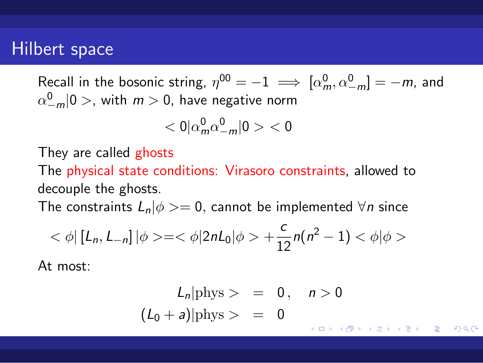Recall in the bosonic string,  $\eta^{00} = -1 \implies [\alpha_m^0, \alpha_{-m}^0] = -m$ , and  $\alpha_{-m}^0$ |0 >, with  $m > 0$ , have negative norm

$$
<0|\alpha^0_m\alpha^0_{-m}|0><0
$$

They are called ghosts

The physical state conditions: Virasoro constraints, allowed to decouple the ghosts.

The constraints  $L_n|\phi$  > = 0, cannot be implemented  $∀n$  since

$$
<\phi | [L_n, L_{-n}] | \phi > = <\phi | 2nL_0 | \phi > + \frac{c}{12}n(n^2 - 1) < \phi | \phi >
$$

At most:

$$
L_n | \text{phys} > = 0, \quad n > 0
$$
  

$$
(L_0 + a) | \text{phys} > = 0
$$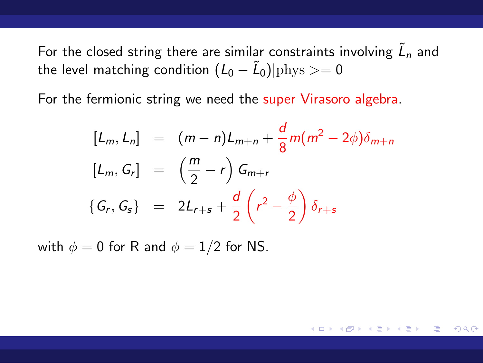For the closed string there are similar constraints involving  $\tilde{L}_n$  and the level matching condition  $(L_0 - \tilde{L}_0)|{\rm phys} >= 0$ 

For the fermionic string we need the super Virasoro algebra.

$$
[L_m, L_n] = (m - n)L_{m+n} + \frac{d}{8}m(m^2 - 2\phi)\delta_{m+n}
$$
  
\n
$$
[L_m, G_r] = (\frac{m}{2} - r) G_{m+r}
$$
  
\n
$$
\{G_r, G_s\} = 2L_{r+s} + \frac{d}{2}(r^2 - \frac{\phi}{2}) \delta_{r+s}
$$

with  $\phi = 0$  for R and  $\phi = 1/2$  for NS.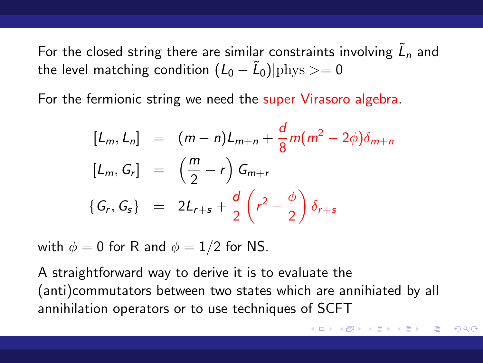For the closed string there are similar constraints involving  $\tilde{L}_n$  and the level matching condition  $(L_0 - \tilde{L}_0)|{\rm phys} >= 0$ 

For the fermionic string we need the super Virasoro algebra.

$$
[L_m, L_n] = (m - n)L_{m+n} + \frac{d}{8}m(m^2 - 2\phi)\delta_{m+n}
$$
  
\n
$$
[L_m, G_r] = (\frac{m}{2} - r) G_{m+r}
$$
  
\n
$$
\{G_r, G_s\} = 2L_{r+s} + \frac{d}{2}(r^2 - \frac{\phi}{2}) \delta_{r+s}
$$

with  $\phi = 0$  for R and  $\phi = 1/2$  for NS.

A straightforward way to derive it is to evaluate the (anti)commutators between two states which are annihiated by all annihilation operators or to use techniques of SCFT

. . . . . . . . . . . . . . . . . . . . . . . . . . . . . . . . . . . . . . .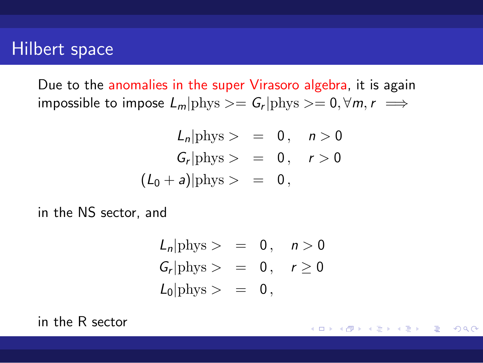Due to the anomalies in the super Virasoro algebra, it is again  $L_m$   $\vert \text{phys} \rangle = G_r \vert \text{phys} \rangle = 0, \forall m, r \implies$ 

$$
L_n | \text{phys} > = 0, \quad n > 0
$$
  

$$
G_r | \text{phys} > = 0, \quad r > 0
$$
  

$$
(L_0 + a) | \text{phys} > = 0,
$$

in the NS sector, and

$$
L_n | \text{phys} > = 0, \quad n > 0
$$
  
\n
$$
G_r | \text{phys} > = 0, \quad r \ge 0
$$
  
\n
$$
L_0 | \text{phys} > = 0,
$$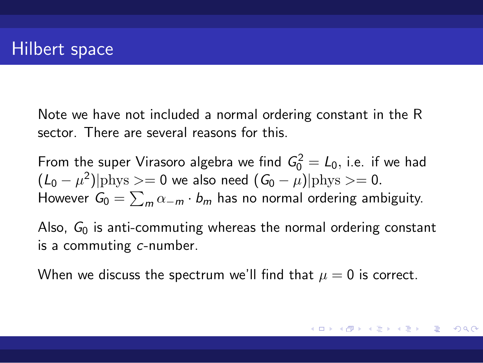Note we have not included a normal ordering constant in the R sector. There are several reasons for this.

From the super Virasoro algebra we find  $G_0^2 = L_0$ , i.e. if we had  $(L_0 - \mu^2)|$  phys >= 0 we also need  $(G_0 - \mu)|$  phys >= 0. However  $G_0 = \sum_m \alpha_{-m} \cdot b_m$  has no normal ordering ambiguity.

Also, *G*<sup>0</sup> is anti-commuting whereas the normal ordering constant is a commuting *c*-number.

When we discuss the spectrum we'll find that  $\mu = 0$  is correct.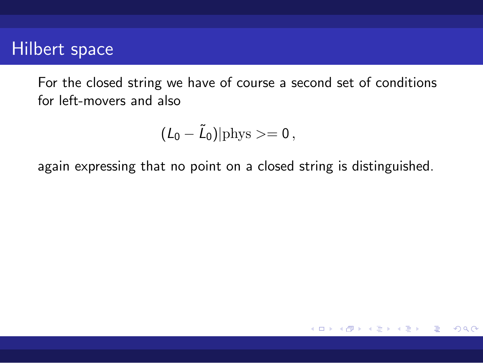For the closed string we have of course a second set of conditions for left-movers and also

$$
(\mathit{L}_0-\tilde{\mathit{L}}_0)|\mathrm{phys}>=0\,,
$$

again expressing that no point on a closed string is distinguished.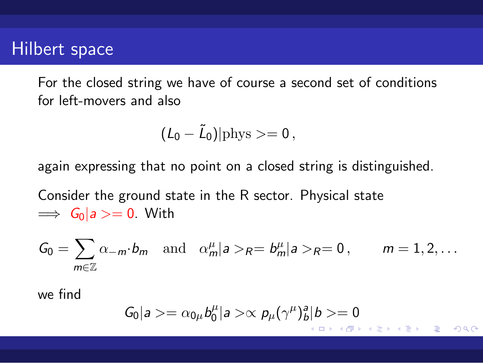For the closed string we have of course a second set of conditions for left-movers and also

$$
(\textit{L}_0-\tilde{\textit{L}}_0)|{\rm phys}>=0\,,
$$

again expressing that no point on a closed string is distinguished.

Consider the ground state in the R sector. Physical state =*⇒ G*0*|a >*= 0. With

$$
G_0 = \sum_{m \in \mathbb{Z}} \alpha_{-m} \cdot b_m \quad \text{and} \quad \alpha_m^{\mu} |a\rangle_R = b_m^{\mu} |a\rangle_R = 0, \qquad m = 1, 2, \dots
$$

we find

$$
G_0|a\rangle = \alpha_{0\mu}b_0^{\mu}|a\rangle \propto p_{\mu}(\gamma^{\mu})_b^a|b\rangle = 0
$$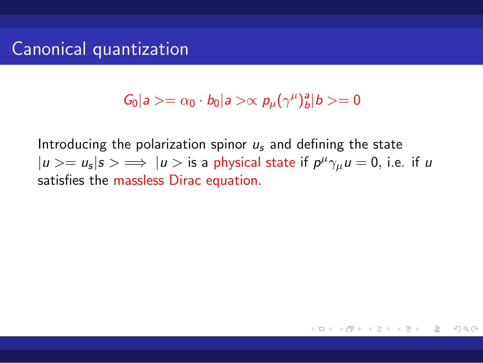$G_0|a\rangle = \alpha_0 \cdot b_0|a\rangle \propto p_\mu(\gamma^\mu)_b^a|b\rangle = 0$ 

Introducing the polarization spinor *u<sup>s</sup>* and defining the state  $|u\rangle = u_s |s\rangle \implies |u\rangle$  is a physical state if  $p^{\mu} \gamma_{\mu} u = 0$ , i.e. if *u* satisfies the massless Dirac equation.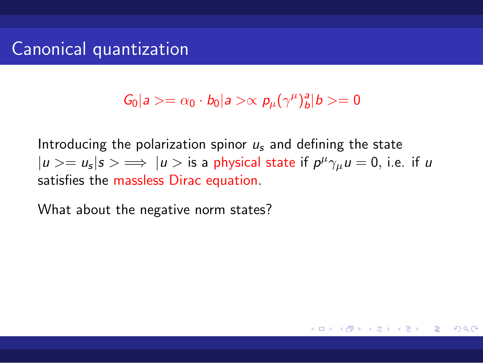$G_0|a\rangle = \alpha_0 \cdot b_0|a\rangle \propto p_\mu(\gamma^\mu)_b^a|b\rangle = 0$ 

Introducing the polarization spinor *u<sup>s</sup>* and defining the state  $|u\rangle = u_s |s\rangle \implies |u\rangle$  is a physical state if  $p^{\mu} \gamma_{\mu} u = 0$ , i.e. if *u* satisfies the massless Dirac equation.

What about the negative norm states?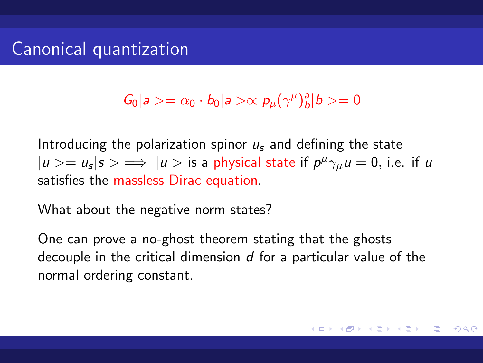$G_0|a\rangle = \alpha_0 \cdot b_0|a\rangle \propto p_\mu(\gamma^\mu)_b^a|b\rangle = 0$ 

Introducing the polarization spinor *u<sup>s</sup>* and defining the state  $|u\rangle = u_s |s\rangle \implies |u\rangle$  is a physical state if  $p^{\mu} \gamma_{\mu} u = 0$ , i.e. if *u* satisfies the massless Dirac equation.

What about the negative norm states?

One can prove a no-ghost theorem stating that the ghosts decouple in the critical dimension *d* for a particular value of the normal ordering constant.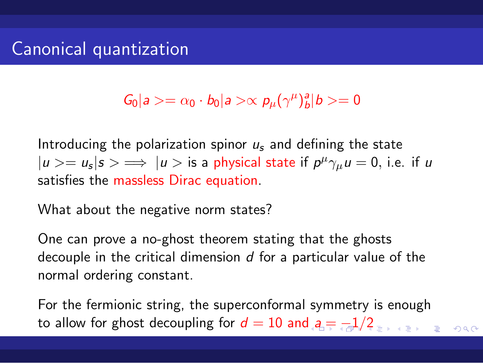$G_0|a\rangle = \alpha_0 \cdot b_0|a\rangle \propto p_\mu(\gamma^\mu)_b^a|b\rangle = 0$ 

Introducing the polarization spinor *u<sup>s</sup>* and defining the state  $|u\rangle = u_s |s\rangle \implies |u\rangle$  is a physical state if  $p^{\mu} \gamma_{\mu} u = 0$ , i.e. if *u* satisfies the massless Dirac equation.

What about the negative norm states?

One can prove a no-ghost theorem stating that the ghosts decouple in the critical dimension *d* for a particular value of the normal ordering constant.

to allow for ghost decoupling for  $d = 10$  and  $a = -1/2$ For the fermionic string, the superconformal symmetry is enough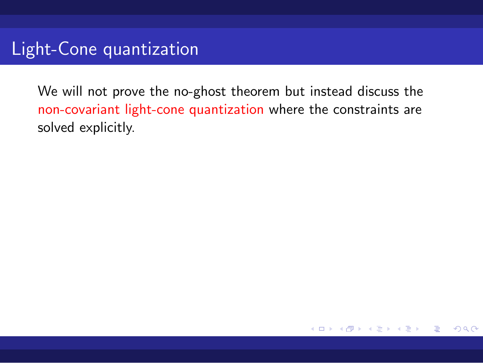We will not prove the no-ghost theorem but instead discuss the non-covariant light-cone quantization where the constraints are solved explicitly.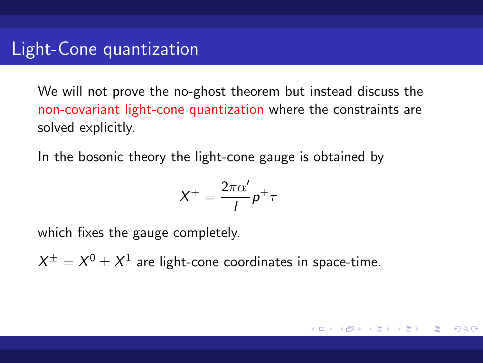We will not prove the no-ghost theorem but instead discuss the non-covariant light-cone quantization where the constraints are solved explicitly.

In the bosonic theory the light-cone gauge is obtained by

$$
X^+ = \frac{2\pi\alpha'}{l}p^+\tau
$$

which fixes the gauge completely.

 $X^{\pm}=X^0\pm X^1$  are light-cone coordinates in space-time.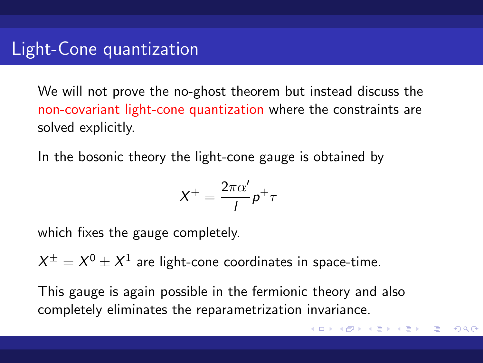We will not prove the no-ghost theorem but instead discuss the non-covariant light-cone quantization where the constraints are solved explicitly.

In the bosonic theory the light-cone gauge is obtained by

$$
X^+ = \frac{2\pi\alpha'}{l}p^+\tau
$$

which fixes the gauge completely.

 $X^{\pm}=X^0\pm X^1$  are light-cone coordinates in space-time.

This gauge is again possible in the fermionic theory and also completely eliminates the reparametrization invariance.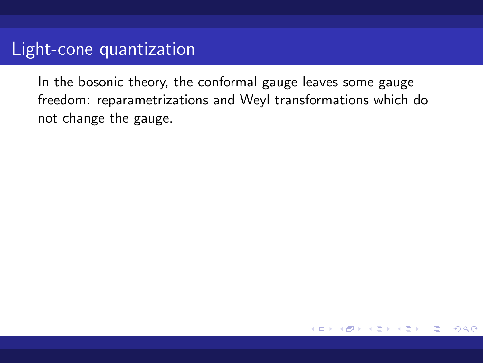In the bosonic theory, the conformal gauge leaves some gauge freedom: reparametrizations and Weyl transformations which do not change the gauge.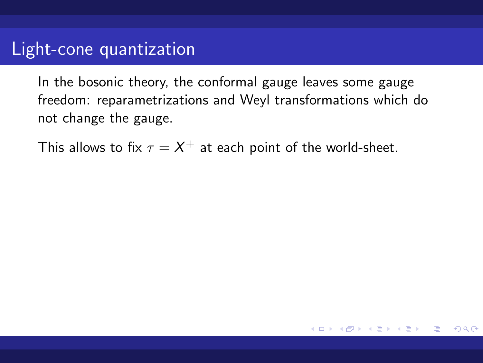In the bosonic theory, the conformal gauge leaves some gauge freedom: reparametrizations and Weyl transformations which do not change the gauge.

This allows to fix  $\tau = X^+$  at each point of the world-sheet.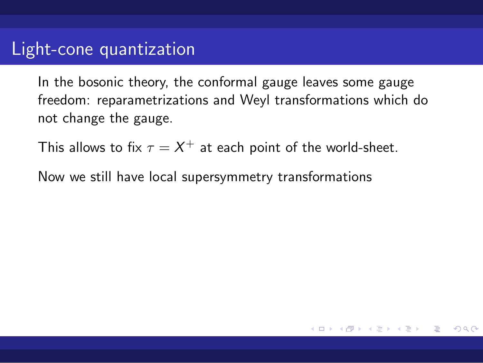In the bosonic theory, the conformal gauge leaves some gauge freedom: reparametrizations and Weyl transformations which do not change the gauge.

This allows to fix  $\tau = X^+$  at each point of the world-sheet.

Now we still have local supersymmetry transformations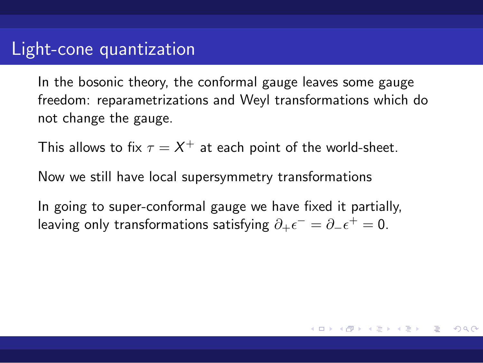In the bosonic theory, the conformal gauge leaves some gauge freedom: reparametrizations and Weyl transformations which do not change the gauge.

This allows to fix  $\tau = X^+$  at each point of the world-sheet.

Now we still have local supersymmetry transformations

In going to super-conformal gauge we have fixed it partially, leaving only transformations satisfying  $\partial_+ \epsilon^- = \partial_- \epsilon^+ = 0$ .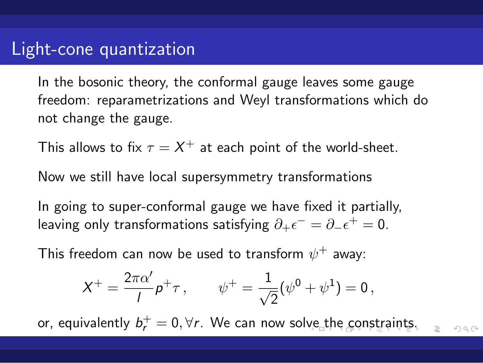In the bosonic theory, the conformal gauge leaves some gauge freedom: reparametrizations and Weyl transformations which do not change the gauge.

This allows to fix  $\tau = X^+$  at each point of the world-sheet.

Now we still have local supersymmetry transformations

In going to super-conformal gauge we have fixed it partially, leaving only transformations satisfying  $\partial_+ \epsilon^- = \partial_- \epsilon^+ = 0$ .

This freedom can now be used to transform  $\psi^+$  away:

$$
X^+ = \frac{2\pi\alpha'}{l}p^+\tau\,,\qquad \psi^+ = \frac{1}{\sqrt{2}}(\psi^0 + \psi^1) = 0\,,
$$

or, equivalently  $b_r^+ = 0, \forall r$ . We can now solve the constraints.  $\equiv$  990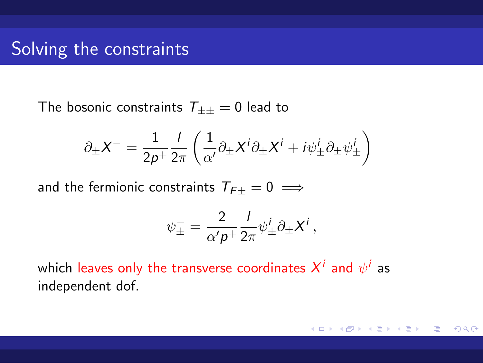# Solving the constraints

The bosonic constraints  $T_{\pm\pm}=0$  lead to

$$
\partial_{\pm} X^{-} = \frac{1}{2p^{+}} \frac{1}{2\pi} \left( \frac{1}{\alpha'} \partial_{\pm} X^{i} \partial_{\pm} X^{i} + i \psi_{\pm}^{i} \partial_{\pm} \psi_{\pm}^{i} \right)
$$

and the fermionic constraints  $T_{F\pm} = 0 \implies$ 

$$
\psi_{\pm}^- = \frac{2}{\alpha' \rho^+} \frac{1}{2\pi} \psi_{\pm}^i \partial_{\pm} X^i \,,
$$

which leaves only the transverse coordinates  $X^i$  and  $\psi^i$  as independent dof.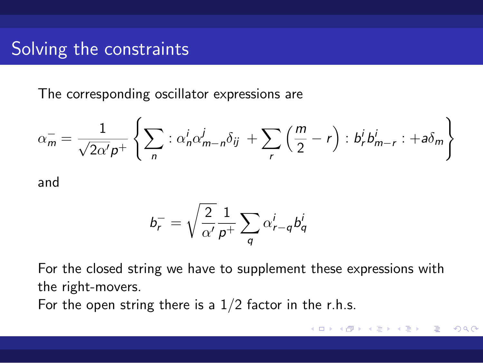## Solving the constraints

The corresponding oscillator expressions are

$$
\alpha_m^- = \frac{1}{\sqrt{2\alpha' p^+}} \left\{ \sum_n : \alpha_n^i \alpha_{m-n}^j \delta_{ij} + \sum_r \left( \frac{m}{2} - r \right) : b_r^i b_{m-r}^i : +a \delta_m \right\}
$$

and

$$
b_r^- = \sqrt{\frac{2}{\alpha'}}\frac{1}{p^+}\sum_q \alpha_{r-q}^i b_q^i
$$

For the closed string we have to supplement these expressions with the right-movers.

For the open string there is a  $1/2$  factor in the r.h.s.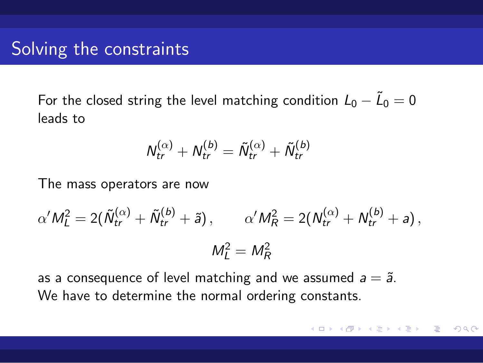## Solving the constraints

For the closed string the level matching condition  $L_0 - \tilde{L}_0 = 0$ leads to

$$
\mathcal{N}_{tr}^{(\alpha)} + \mathcal{N}_{tr}^{(b)} = \tilde{\mathcal{N}}_{tr}^{(\alpha)} + \tilde{\mathcal{N}}_{tr}^{(b)}
$$

The mass operators are now

$$
\alpha'M_L^2 = 2(\tilde{N}_{tr}^{(\alpha)} + \tilde{N}_{tr}^{(b)} + \tilde{a}), \qquad \alpha'M_R^2 = 2(N_{tr}^{(\alpha)} + N_{tr}^{(b)} + a),
$$
  

$$
M_L^2 = M_R^2
$$

as a consequence of level matching and we assumed  $a = \tilde{a}$ . We have to determine the normal ordering constants.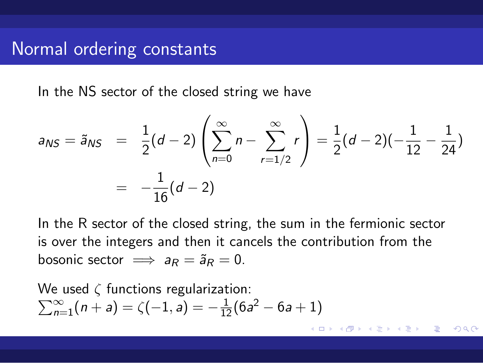### Normal ordering constants

In the NS sector of the closed string we have

$$
a_{NS} = \tilde{a}_{NS} = \frac{1}{2}(d-2)\left(\sum_{n=0}^{\infty} n - \sum_{r=1/2}^{\infty} r\right) = \frac{1}{2}(d-2)(-\frac{1}{12}-\frac{1}{24})
$$
  
=  $-\frac{1}{16}(d-2)$ 

In the R sector of the closed string, the sum in the fermionic sector is over the integers and then it cancels the contribution from the bosonic sector  $\implies a_R = \tilde{a}_R = 0$ .

We used *ζ* functions regularization:  $\sum_{n=1}^{\infty}$   $(n+a) = \zeta(-1, a) = -\frac{1}{12}(6a^2 - 6a + 1)$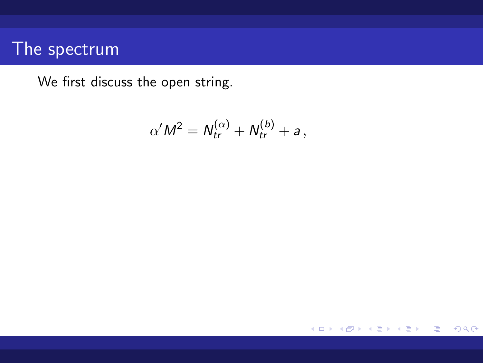We first discuss the open string.

$$
\alpha'M^2=N_{tr}^{(\alpha)}+N_{tr}^{(b)}+a,
$$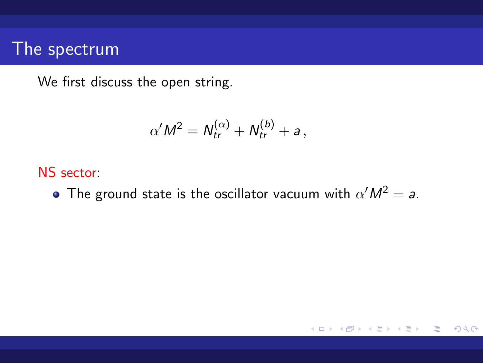We first discuss the open string.

$$
\alpha'M^2=N_{tr}^{(\alpha)}+N_{tr}^{(b)}+a,
$$

#### NS sector:

The ground state is the oscillator vacuum with  $\alpha' M^2 = a$ .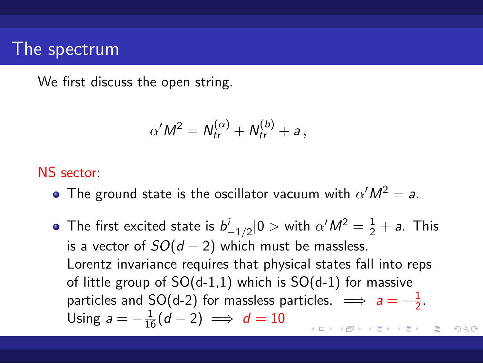We first discuss the open string.

$$
\alpha'M^2=N_{tr}^{(\alpha)}+N_{tr}^{(b)}+a,
$$

#### NS sector:

- The ground state is the oscillator vacuum with  $\alpha' M^2 = a$ .
- . . . . . . . . . . . . . . . . . . . . . . . . . . . . . . . . . . . . . . . . The first excited state is  $b^i_{-1/2} |0>$  with  $\alpha' M^2 = \frac{1}{2} + a$ . This is a vector of *SO*(*d −* 2) which must be massless. Lorentz invariance requires that physical states fall into reps of little group of  $SO(d-1,1)$  which is  $SO(d-1)$  for massive particles and SO(d-2) for massless particles.  $\implies$   $a = -\frac{1}{2}$  $\frac{1}{2}$ . Using  $a = -\frac{1}{16}(d-2) \implies d = 10$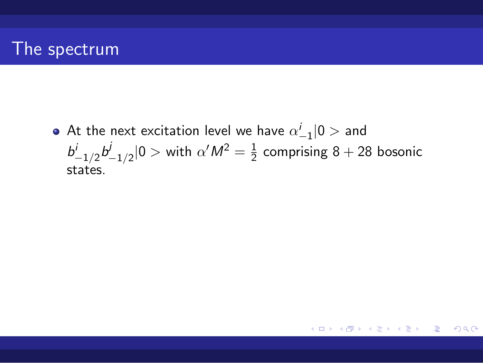At the next excitation level we have  $\alpha^i_{-1} |0>$  and  $b^{i}_{-1/2}b^{j}_{-1/2}$  $\frac{1}{2}$ <sub>−1/2</sub>|0 > with  $\alpha' M^2 = \frac{1}{2}$  $\frac{1}{2}$  comprising 8 + 28 bosonic states.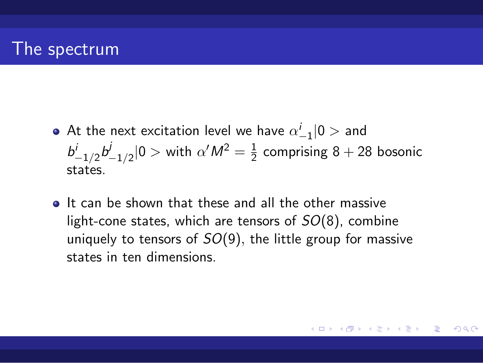- At the next excitation level we have  $\alpha^i_{-1} |0>$  and  $b^{i}_{-1/2}b^{j}_{-1/2}$  $\frac{1}{2}$ <sub>−1/2</sub>|0 > with  $\alpha' M^2 = \frac{1}{2}$  $\frac{1}{2}$  comprising 8 + 28 bosonic states.
- $\bullet$  It can be shown that these and all the other massive light-cone states, which are tensors of *SO*(8), combine uniquely to tensors of *SO*(9)*,* the little group for massive states in ten dimensions.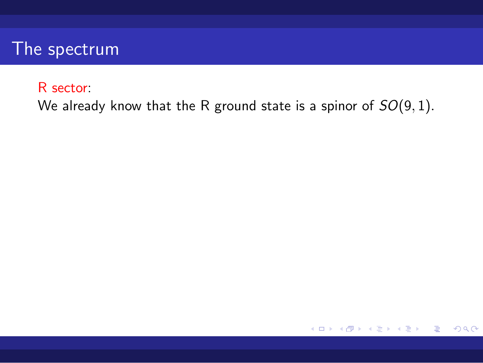#### R sector:

We already know that the R ground state is a spinor of *SO*(9*,* 1)*.*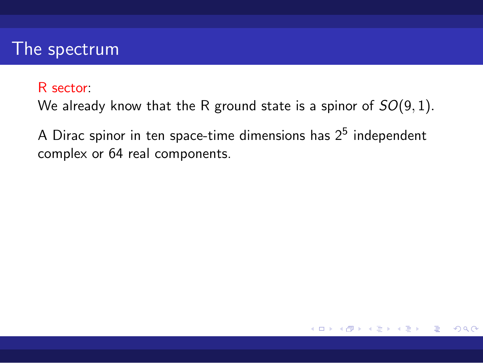#### R sector:

We already know that the R ground state is a spinor of *SO*(9*,* 1)*.*

A Dirac spinor in ten space-time dimensions has  $2^5$  independent complex or 64 real components.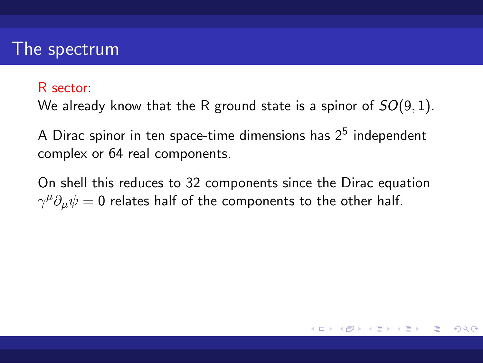#### R sector:

We already know that the R ground state is a spinor of *SO*(9*,* 1)*.*

A Dirac spinor in ten space-time dimensions has  $2^5$  independent complex or 64 real components.

On shell this reduces to 32 components since the Dirac equation  $\gamma^{\mu}\partial_{\mu}\psi = 0$  relates half of the components to the other half.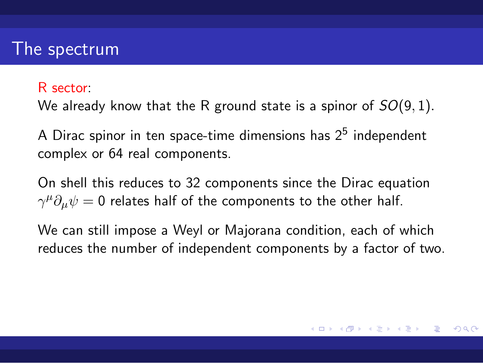#### R sector:

We already know that the R ground state is a spinor of *SO*(9*,* 1)*.*

A Dirac spinor in ten space-time dimensions has  $2^5$  independent complex or 64 real components.

On shell this reduces to 32 components since the Dirac equation  $\gamma^{\mu}\partial_{\mu}\psi = 0$  relates half of the components to the other half.

We can still impose a Weyl or Majorana condition, each of which reduces the number of independent components by a factor of two.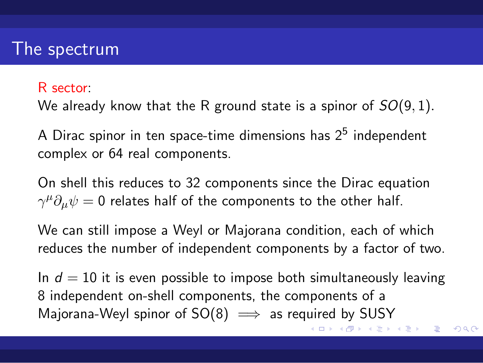#### R sector:

We already know that the R ground state is a spinor of *SO*(9*,* 1)*.*

A Dirac spinor in ten space-time dimensions has  $2^5$  independent complex or 64 real components.

On shell this reduces to 32 components since the Dirac equation  $\gamma^{\mu}\partial_{\mu}\psi = 0$  relates half of the components to the other half.

We can still impose a Weyl or Majorana condition, each of which reduces the number of independent components by a factor of two.

 $\Box \rightarrow \neg \left( \frac{\partial}{\partial \theta} \right) \rightarrow \neg \left( \frac{\partial}{\partial \theta} \right) \rightarrow \neg \left( \frac{\partial}{\partial \theta} \right) \rightarrow$ . . In  $d = 10$  it is even possible to impose both simultaneously leaving 8 independent on-shell components, the components of a Majorana-Weyl spinor of SO(8)  $\implies$  as required by SUSY

ogo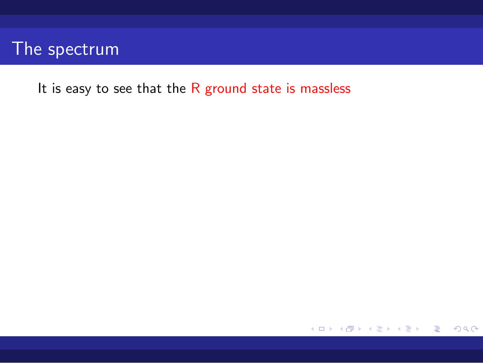It is easy to see that the R ground state is massless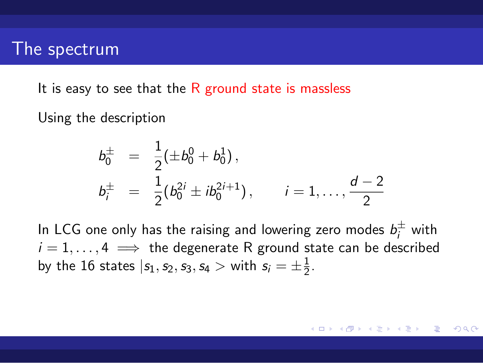It is easy to see that the  $R$  ground state is massless

Using the description

$$
b_0^{\pm} = \frac{1}{2} (\pm b_0^0 + b_0^1),
$$
  
\n
$$
b_i^{\pm} = \frac{1}{2} (b_0^{2i} \pm ib_0^{2i+1}), \qquad i = 1, ..., \frac{d-2}{2}
$$

In LCG one only has the raising and lowering zero modes  $b_i^{\pm}$  with  $i = 1, \ldots, 4 \implies$  the degenerate R ground state can be described by the  $16$  states  $|s_1,s_2,s_3,s_4>$  with  $s_i=\pm\frac{1}{2}$  $\frac{1}{2}$ .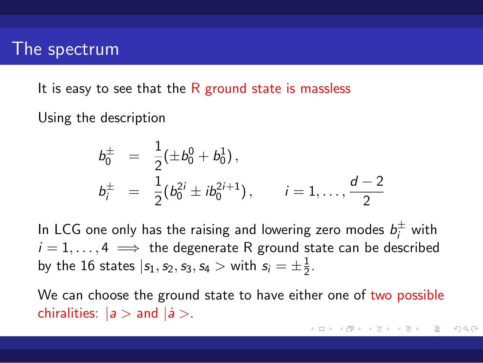It is easy to see that the  $R$  ground state is massless

Using the description

$$
b_0^{\pm} = \frac{1}{2} (\pm b_0^0 + b_0^1),
$$
  
\n
$$
b_i^{\pm} = \frac{1}{2} (b_0^{2i} \pm ib_0^{2i+1}), \qquad i = 1, ..., \frac{d-2}{2}
$$

In LCG one only has the raising and lowering zero modes  $b_i^{\pm}$  with  $i = 1, \ldots, 4 \implies$  the degenerate R ground state can be described by the  $16$  states  $|s_1,s_2,s_3,s_4>$  with  $s_i=\pm\frac{1}{2}$  $\frac{1}{2}$ .

We can choose the ground state to have either one of two possible chiralities:  $|a>$  and  $|a>$ .

. . . . . . . . . . . . . . . . . . . . . . . . . . . . . . . . . . . . . . .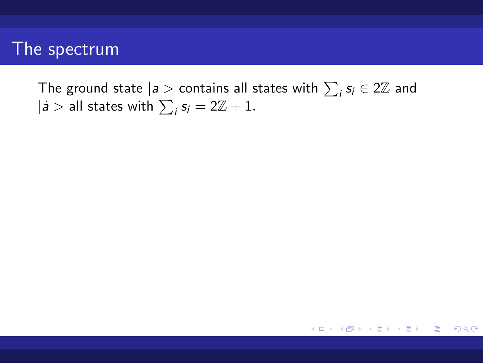The ground state  $|a>$  contains all states with  $\sum_i s_i \in 2\mathbb{Z}$  and  $|i >$  all states with  $\sum_{i} s_i = 2\mathbb{Z} + 1$ *.*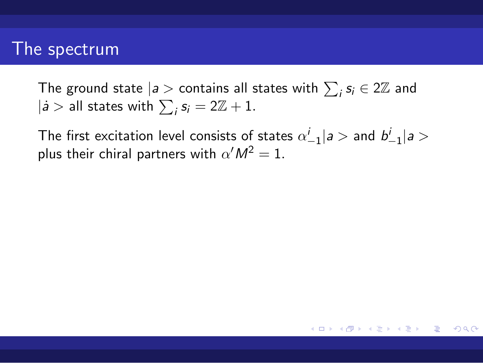The ground state  $|a>$  contains all states with  $\sum_i s_i \in 2\mathbb{Z}$  and  $|i >$  all states with  $\sum_{i} s_i = 2\mathbb{Z} + 1$ *.* 

The first excitation level consists of states  $\alpha^{i}_{-1} | a >$  and  $b^{i}_{-1} | a >$ plus their chiral partners with  $\alpha' M^2 = 1$ .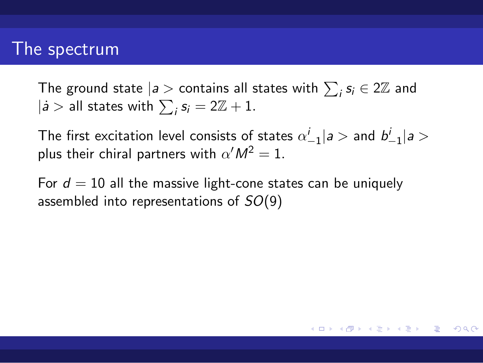#### The spectrum

The ground state  $|a>$  contains all states with  $\sum_i s_i \in 2\mathbb{Z}$  and  $|i >$  all states with  $\sum_{i} s_i = 2\mathbb{Z} + 1$ *.* 

The first excitation level consists of states  $\alpha^{i}_{-1} | a >$  and  $b^{i}_{-1} | a >$ plus their chiral partners with  $\alpha' M^2 = 1$ .

For  $d = 10$  all the massive light-cone states can be uniquely assembled into representations of *SO*(9)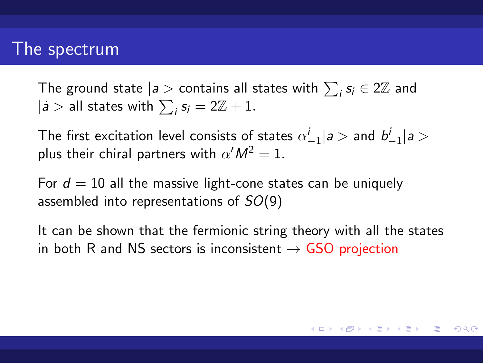#### The spectrum

The ground state  $|a>$  contains all states with  $\sum_i s_i \in 2\mathbb{Z}$  and  $|i >$  all states with  $\sum_{i} s_i = 2\mathbb{Z} + 1$ *.* 

The first excitation level consists of states  $\alpha^{i}_{-1} | a >$  and  $b^{i}_{-1} | a >$ plus their chiral partners with  $\alpha' M^2 = 1$ .

For  $d = 10$  all the massive light-cone states can be uniquely assembled into representations of *SO*(9)

It can be shown that the fermionic string theory with all the states in both R and NS sectors is inconsistent *→* GSO projection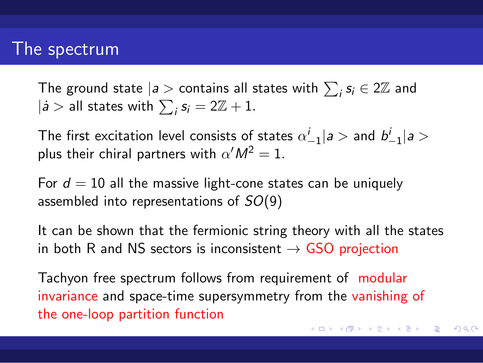#### The spectrum

The ground state  $|a>$  contains all states with  $\sum_i s_i \in 2\mathbb{Z}$  and  $|i >$  all states with  $\sum_{i} s_i = 2\mathbb{Z} + 1$ *.* 

The first excitation level consists of states  $\alpha^{i}_{-1} | a >$  and  $b^{i}_{-1} | a >$ plus their chiral partners with  $\alpha' M^2 = 1$ .

For  $d = 10$  all the massive light-cone states can be uniquely assembled into representations of *SO*(9)

It can be shown that the fermionic string theory with all the states in both R and NS sectors is inconsistent *→* GSO projection

Tachyon free spectrum follows from requirement of modular invariance and space-time supersymmetry from the vanishing of the one-loop partition function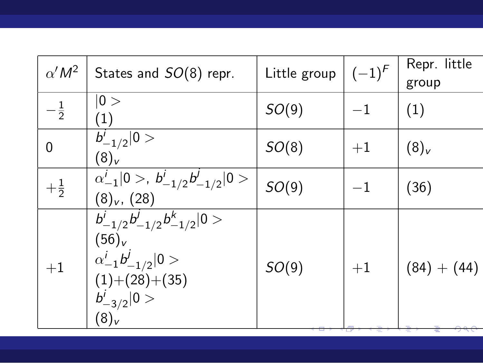| $\alpha' M^2$  | States and $SO(8)$ repr.                                                                                                                        | Little group | $(-1)^{F}$ | Repr. little<br>group |
|----------------|-------------------------------------------------------------------------------------------------------------------------------------------------|--------------|------------|-----------------------|
| $-\frac{1}{2}$ | 0><br>$\left( 1\right)$                                                                                                                         | SO(9)        | $-1$       | (1)                   |
| $\overline{0}$ | $\overline{b_{-1/2}^i}  0>$<br>$(8)_v$                                                                                                          | SO(8)        | $+1$       | $(8)_v$               |
| $+\frac{1}{2}$ | $\overline{\alpha^i_{-1}} 0>, b^i_{-1/2}b^j_{-1/2} 0>$<br>$(8)_v$ , $(28)$                                                                      | SO(9)        | $^{-1}$    | (36)                  |
| $+1$           | $\frac{b^i_{-1/2}b^j_{-1/2}b^k_{-1/2} 0>}$<br>$(56)_{V}$<br>$\alpha^{i}_{-1}b^{j}_{-1/2} 0>$<br>$(1)+(28)+(35)$<br>$b^{i}_{-3/2} 0>$<br>$(8)_v$ | SO(9)        | $+1$       | $(84) + (44)$         |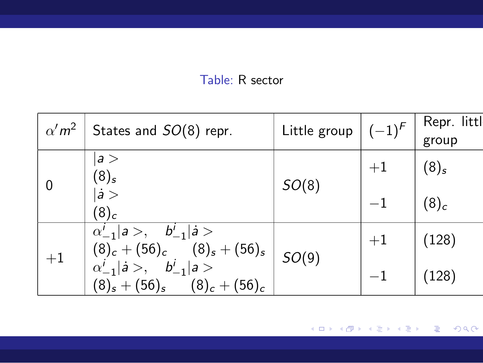#### Table: R sector

| $\alpha' m^2$ | States and SO(8) repr.                                                                                                             | Little group $\vert (-1)^{F} \vert$ |      | Repr. little<br>group |
|---------------|------------------------------------------------------------------------------------------------------------------------------------|-------------------------------------|------|-----------------------|
| 0             | a ><br>$(8)_s$                                                                                                                     | SO(8)                               | $+1$ | $(8)_{s}$             |
|               | $ \dot{a}>$<br>$(8)_c$                                                                                                             |                                     | $-1$ | $(8)_c$               |
| $+1$          | $\alpha'_{-1}  a\rangle, \quad b'_{-1}  a\rangle$                                                                                  | SO(9)                               | $+1$ | (128)                 |
|               | $(8)_c + (56)_c$ $(8)_s + (56)_s$<br>$\alpha^i_{-1}   \dot{a} >, \quad b^i_{-1}   a >$<br>$(8)_s + (56)_s$<br>$(8)_{c} + (56)_{c}$ |                                     |      | (128)                 |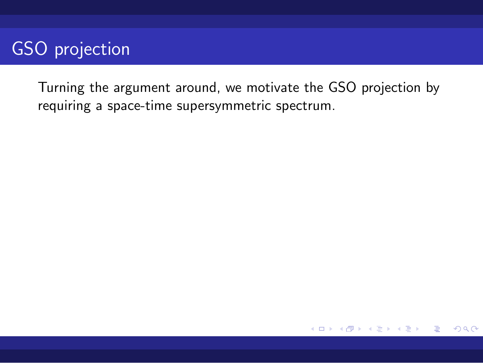Turning the argument around, we motivate the GSO projection by requiring a space-time supersymmetric spectrum.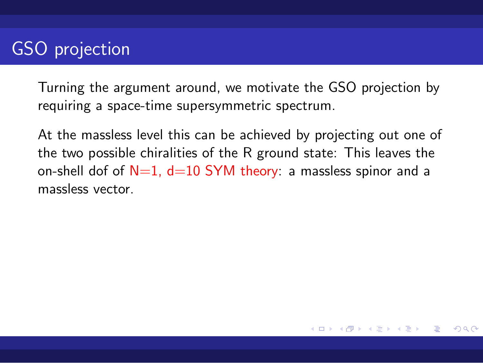Turning the argument around, we motivate the GSO projection by requiring a space-time supersymmetric spectrum.

At the massless level this can be achieved by projecting out one of the two possible chiralities of the R ground state: This leaves the on-shell dof of  $N=1$ ,  $d=10$  SYM theory: a massless spinor and a massless vector.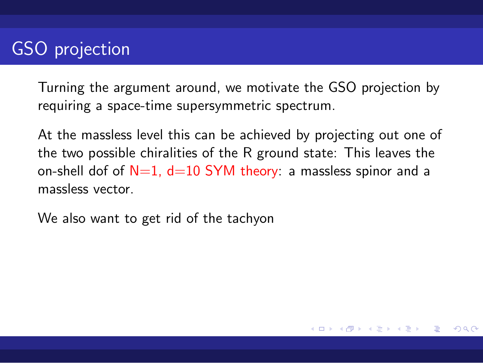Turning the argument around, we motivate the GSO projection by requiring a space-time supersymmetric spectrum.

At the massless level this can be achieved by projecting out one of the two possible chiralities of the R ground state: This leaves the on-shell dof of  $N=1$ ,  $d=10$  SYM theory: a massless spinor and a massless vector.

We also want to get rid of the tachyon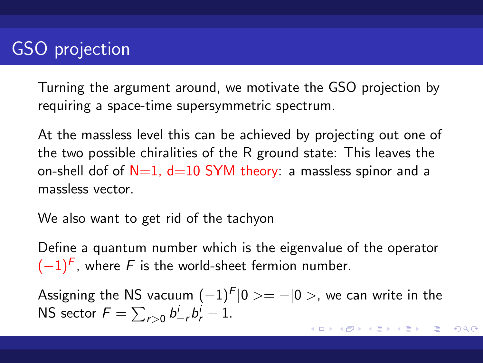Turning the argument around, we motivate the GSO projection by requiring a space-time supersymmetric spectrum.

At the massless level this can be achieved by projecting out one of the two possible chiralities of the R ground state: This leaves the on-shell dof of  $N=1$ ,  $d=10$  SYM theory: a massless spinor and a massless vector.

We also want to get rid of the tachyon

Define a quantum number which is the eigenvalue of the operator (*−*1)*<sup>F</sup>* , where *F* is the world-sheet fermion number.

Assigning the NS vacuum (*−*1)*<sup>F</sup> |*0 *>*= *−|*0 *>*, we can write in the NS sector  $F = \sum_{r>0} b^i_{-r} b^i_r - 1$ .

. . . . . . . . . . . . . . . . . . . . . . . .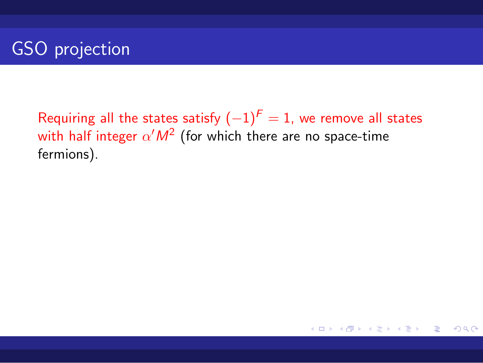Requiring all the states satisfy  $(-1)^F = 1$ , we remove all states with half integer  $\alpha' M^2$  (for which there are no space-time fermions).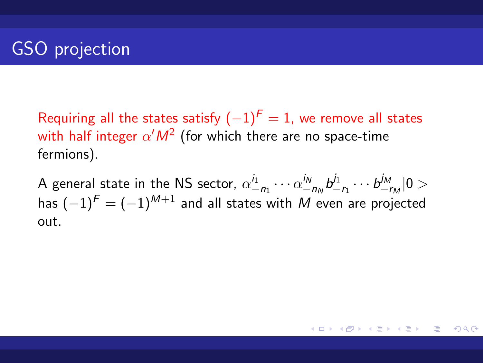Requiring all the states satisfy  $(-1)^F = 1$ , we remove all states with half integer  $\alpha' M^2$  (for which there are no space-time fermions).

A general state in the NS sector,  $\alpha_{-n_1}^{i_1} \cdots \alpha_{-n_N}^{i_N} b_-^{j_1}$  $\frac{j_1}{-r_1} \cdots b_{-1}^{j_M}$ *−r<sup>M</sup> |*0 *>* has (*−*1)*<sup>F</sup>* = (*−*1)*M*+1 and all states with *M* even are projected out.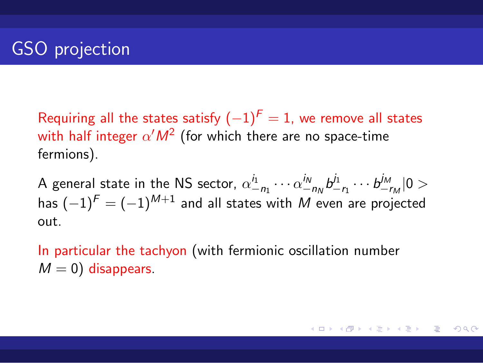Requiring all the states satisfy  $(-1)^F = 1$ , we remove all states with half integer  $\alpha' M^2$  (for which there are no space-time fermions).

A general state in the NS sector,  $\alpha_{-n_1}^{i_1} \cdots \alpha_{-n_N}^{i_N} b_-^{j_1}$  $\frac{j_1}{-r_1} \cdots b_{-1}^{j_M}$ *−r<sup>M</sup> |*0 *>* has (*−*1)*<sup>F</sup>* = (*−*1)*M*+1 and all states with *M* even are projected out.

In particular the tachyon (with fermionic oscillation number  $M = 0$ ) disappears.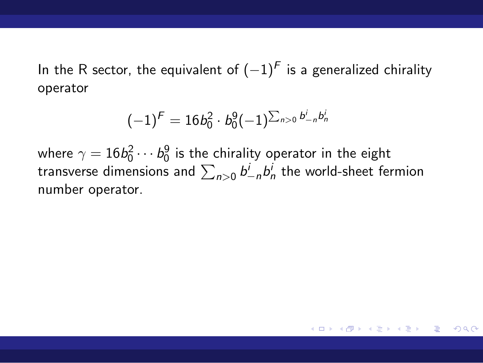In the R sector, the equivalent of (*−*1)*<sup>F</sup>* is a generalized chirality operator

$$
(-1)^{\digamma}=16b_0^2\cdot b_0^9(-1)^{\sum_{n>0}b_{-n}^ib_n^i}
$$

where  $\gamma=16b_0^2\cdots b_0^9$  is the chirality operator in the eight transverse dimensions and  $\sum_{n>0} b^i_{-n} b^i_n$  the world-sheet fermion number operator.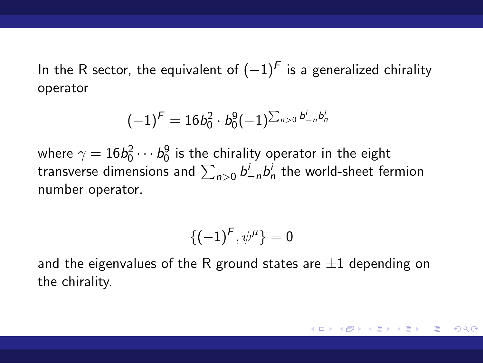In the R sector, the equivalent of (*−*1)*<sup>F</sup>* is a generalized chirality operator

$$
(-1)^{\textstyle \mathop{F}} = 16b_0^2 \cdot b_0^9(-1)^{\sum_{n>0} b_{-n}^i b_n^i}
$$

where  $\gamma=16b_0^2\cdots b_0^9$  is the chirality operator in the eight transverse dimensions and  $\sum_{n>0} b^i_{-n} b^i_n$  the world-sheet fermion number operator.

$$
\{(-1)^F, \psi^{\mu}\} = 0
$$

and the eigenvalues of the R ground states are *±*1 depending on the chirality.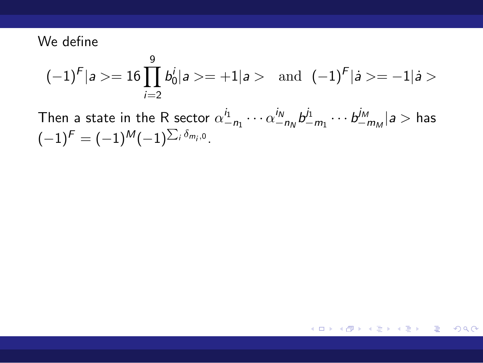#### We define

$$
(-1)^F |a >= 16 \prod_{i=2}^9 b_0^i |a >= +1|a > \text{ and } (-1)^F |a >= -1|a >
$$

Then a state in the R sector  $\alpha_{-n_1}^{i_1} \cdots \alpha_{-n_N}^{i_N} b_-^{j_1}$  $\frac{j_1}{-m_1}\cdots\frac{j_M}{-m_M}$ *−m<sup>M</sup> |a >* has  $(-1)^{F} = (-1)^{M}(-1)^{\sum_i \delta_{m_i,0}}$ .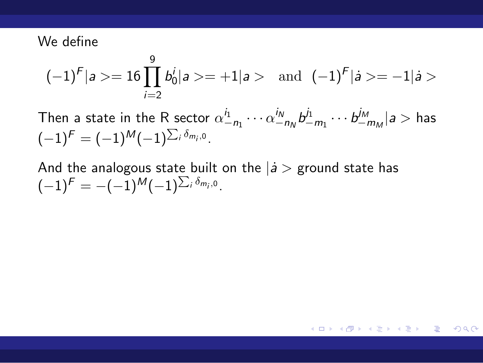#### We define

$$
(-1)^F |a >= 16 \prod_{i=2}^9 b_0^i |a >= +1|a > \text{ and } (-1)^F |a >= -1|a >
$$

Then a state in the R sector  $\alpha_{-n_1}^{i_1} \cdots \alpha_{-n_N}^{i_N} b_-^{j_1}$  $\frac{j_1}{-m_1}\cdots\frac{j_M}{-m_M}$ *−m<sup>M</sup> |a >* has  $(-1)^{F} = (-1)^{M}(-1)^{\sum_i \delta_{m_i,0}}$ .

And the analogous state built on the *|a*˙ *>* ground state has  $(-1)^{F} = -(-1)^{M}(-1)^{\sum_i \delta_{m_i,0}}$ .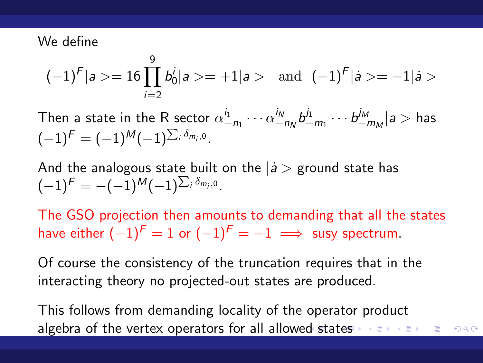#### We define

$$
(-1)^F |a >= 16 \prod_{i=2}^9 b_0^i |a >= + 1|a > \text{ and } (-1)^F |a >= -1|a >
$$

Then a state in the R sector  $\alpha_{-n_1}^{i_1} \cdots \alpha_{-n_N}^{i_N} b_-^{j_1}$  $\frac{j_1}{-m_1}\cdots\frac{j_M}{-m_M}$ *−m<sup>M</sup> |a >* has  $(-1)^{F} = (-1)^{M}(-1)^{\sum_i \delta_{m_i,0}}$ .

And the analogous state built on the *|a*˙ *>* ground state has  $(-1)^{F} = -(-1)^{M}(-1)^{\sum_i \delta_{m_i,0}}$ .

The GSO projection then amounts to demanding that all the states have either  $(-1)^F = 1$  or  $(-1)^F = -1 \implies$  susy spectrum.

Of course the consistency of the truncation requires that in the interacting theory no projected-out states are produced.

algebra of the vertex operators for all allowed states **and the sense of the sense of the states** This follows from demanding locality of the operator product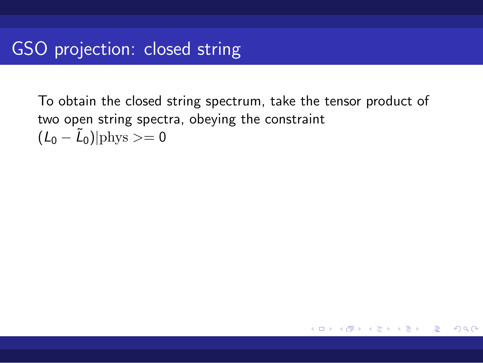To obtain the closed string spectrum, take the tensor product of two open string spectra, obeying the constraint  $(L_0 - \tilde{L}_0)$ |phys >= 0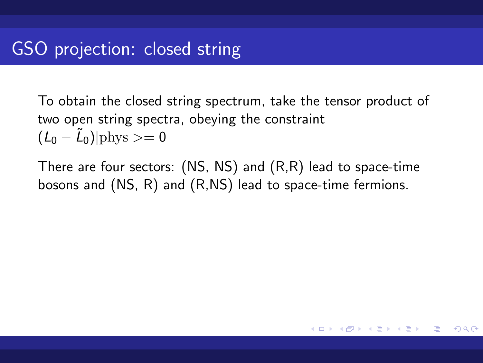To obtain the closed string spectrum, take the tensor product of two open string spectra, obeying the constraint  $(L_0 - \tilde{L}_0)$ |phys >= 0

There are four sectors: (NS, NS) and (R,R) lead to space-time bosons and (NS, R) and (R,NS) lead to space-time fermions.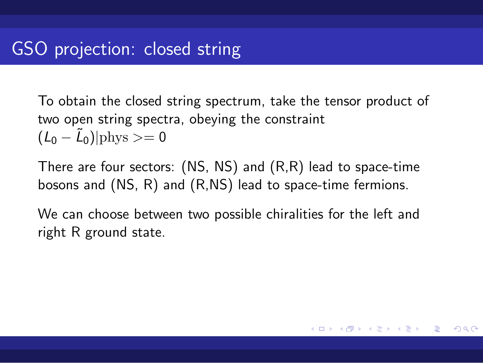To obtain the closed string spectrum, take the tensor product of two open string spectra, obeying the constraint  $(L_0 - \tilde{L}_0)$ |phys >= 0

There are four sectors: (NS, NS) and (R,R) lead to space-time bosons and (NS, R) and (R,NS) lead to space-time fermions.

We can choose between two possible chiralities for the left and right R ground state.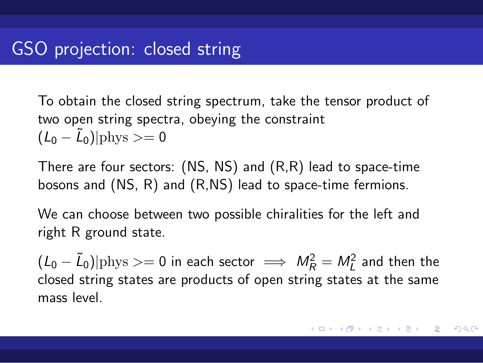To obtain the closed string spectrum, take the tensor product of two open string spectra, obeying the constraint  $(L_0 - \tilde{L}_0)$ |phys >= 0

There are four sectors: (NS, NS) and (R,R) lead to space-time bosons and (NS, R) and (R,NS) lead to space-time fermions.

We can choose between two possible chiralities for the left and right R ground state.

 $(L_0 - \tilde{L}_0)|$ phys >= 0 in each sector  $\implies M_R^2 = M_L^2$  and then the closed string states are products of open string states at the same mass level.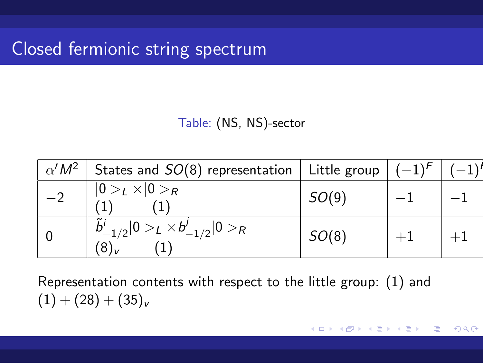## Closed fermionic string spectrum

| Table: (NS, NS)-sector |  |  |  |
|------------------------|--|--|--|
|------------------------|--|--|--|

| $\alpha' M^2$ States and $SO(8)$ representation   Little group   $(-1)^F$ |       |  |
|---------------------------------------------------------------------------|-------|--|
| $ 0>_{L} \times  0>_{R}$                                                  | SO(9) |  |
| $b'_{-1/2} 0>_{L}\times b'_{-1/2} 0>_{R}$                                 | SO(8) |  |

Representation contents with respect to the little group: (1) and  $(1) + (28) + (35)_v$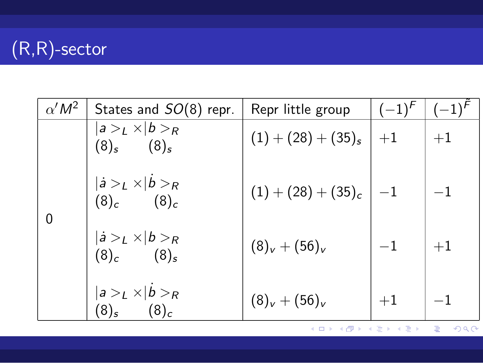# (R,R)-sector

| $\alpha' M^2$ | States and SO(8) repr.                             | Repr little group            | $(-1)^{F}$ | $(-1)^{r}$ |
|---------------|----------------------------------------------------|------------------------------|------------|------------|
|               | $ a>_{L}\times b>_{R}$<br>$(8)_s$ $(8)_s$          | $(1) + (28) + (35)_{s}$   +1 |            | $+1$       |
|               | $ \dot{a} >_{L} \times  b>_{R}$<br>$(8)_c$ $(8)_c$ | $(1)+(28)+(35)_{c}$          | $-1$       | $-1$       |
| 0             | $ \dot{a} >_{L} \times  b>_{R}$<br>$(8)_c$ $(8)_s$ | $(8)_v + (56)_v$             | $^{-1}$    | $+1$       |
|               | $ a>_{L} \times  b>_{R}$<br>$(8)_c$<br>$(8)_s$     | $(8)_v + (56)_v$             | $+1$       |            |

. . . .  $\overline{\Omega}$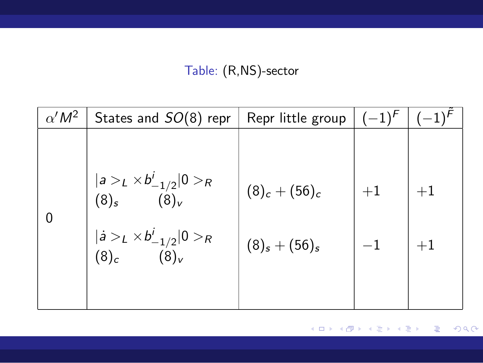#### Table: (R,NS)-sector

| $\alpha' M^2$ | States and $SO(8)$ repr                                                          | Repr little group | $(-1)^{F}$ |      |
|---------------|----------------------------------------------------------------------------------|-------------------|------------|------|
|               |                                                                                  |                   |            |      |
|               | $ a>_{L}\times b^{i}_{-1/2} 0>_{R}$<br>(8) <sub>s</sub> (8) <sub>v</sub>         | $(8)_c + (56)_c$  | $+1$       | $+1$ |
|               | $ \dot{a} >_{L} \times b^{i}_{-1/2} 0>_{R}$<br>(8) <sub>c</sub> (8) <sub>v</sub> | $(8)_s + (56)_s$  | $-1$       | $+1$ |
|               |                                                                                  |                   |            |      |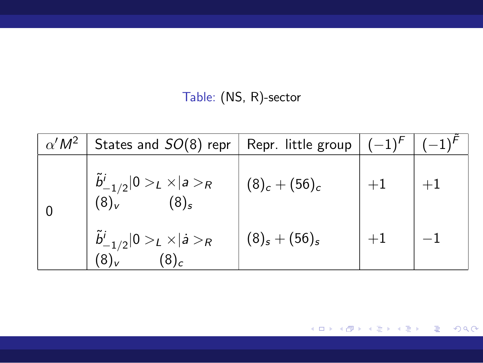Table: (NS, R)-sector

| $\alpha' M^2$ | States and $SO(8)$ repr   Repr. little group                        |                  | $(-1)^{F}$ |  |
|---------------|---------------------------------------------------------------------|------------------|------------|--|
|               | $\tilde{b}^i_{-1/2}  0>_{L} \times  a>_{R}$<br>$ (8)_{v}$ $(8)_{s}$ | $(8)_c + (56)_c$ |            |  |
|               | $\frac{\tilde{b}_{-1/2}^i}{(8)_v}$ $(8)_c$ $(8)_c$                  | $(8)_s + (56)_s$ | $+1$       |  |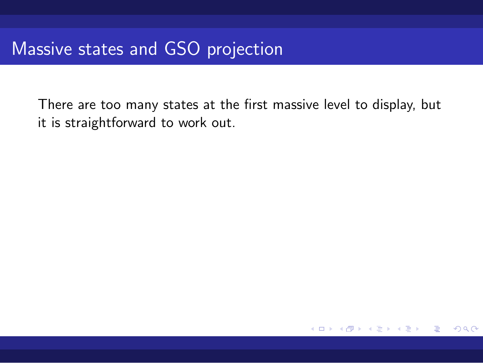There are too many states at the first massive level to display, but it is straightforward to work out.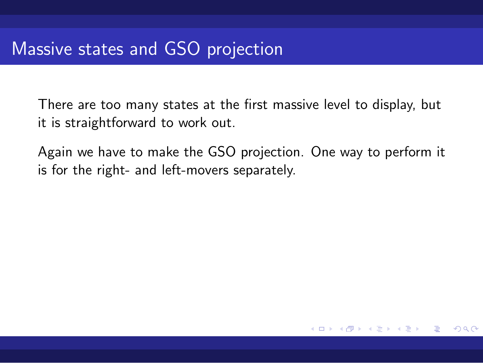There are too many states at the first massive level to display, but it is straightforward to work out.

Again we have to make the GSO projection. One way to perform it is for the right- and left-movers separately.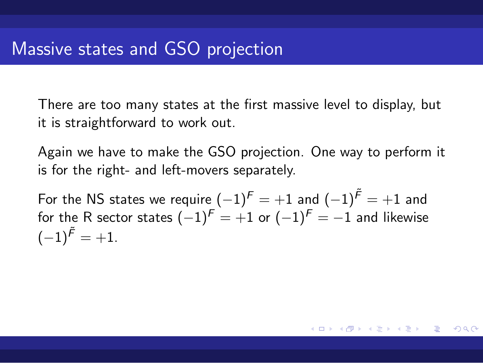There are too many states at the first massive level to display, but it is straightforward to work out.

Again we have to make the GSO projection. One way to perform it is for the right- and left-movers separately.

 $\displaystyle\mathop{\mathsf{For}}$  the NS states we require  $(-1)^{\mathsf{F}}=+1$  and  $(-1)^{\mathsf{F}}=+1$  and for the R sector states (*−*1)*<sup>F</sup>* = +1 or (*−*1)*<sup>F</sup>* = *−*1 and likewise  $(-1)^{\widetilde{F}}=+1.$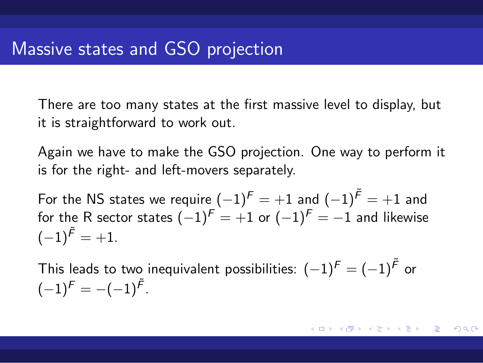There are too many states at the first massive level to display, but it is straightforward to work out.

Again we have to make the GSO projection. One way to perform it is for the right- and left-movers separately.

 $\displaystyle\mathop{\mathsf{For}}$  the NS states we require  $(-1)^{\mathsf{F}}=+1$  and  $(-1)^{\mathsf{F}}=+1$  and for the R sector states (*−*1)*<sup>F</sup>* = +1 or (*−*1)*<sup>F</sup>* = *−*1 and likewise  $(-1)^{\widetilde{F}}=+1.$ 

This leads to two inequivalent possibilities: (*−*1)*<sup>F</sup>* = (*−*1)*F*˜ or  $(-1)^F = -(-1)^{\tilde{F}}$ .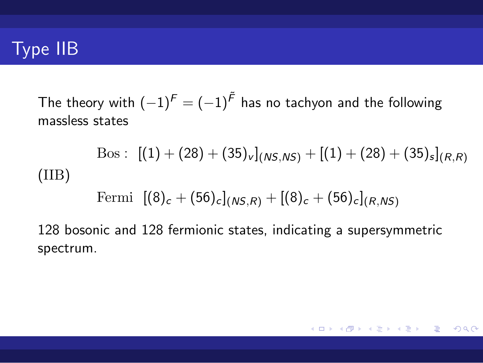# Type IIB

The theory with  $(-1)^F=(-1)^{\tilde{F}}$  has no tachyon and the following massless states

$$
\operatorname{Bos}:\,\, [(1)+(28)+(35)_{v}]_{(NS,NS)}+[(1)+(28)+(35)_{s}]_{(R,R)}
$$

(IIB)

Fermi  $[(8)_c + (56)_c]_{(NS,R)} + [(8)_c + (56)_c]_{(R,NS)}$ 

128 bosonic and 128 fermionic states, indicating a supersymmetric spectrum.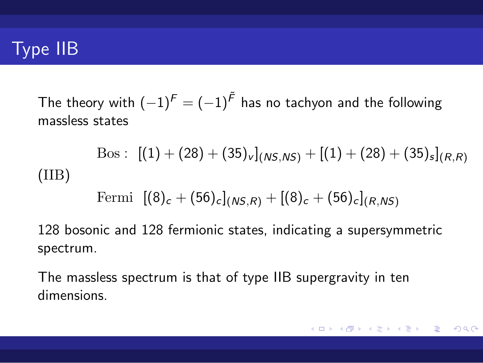## Type IIB

The theory with  $(-1)^F=(-1)^{\tilde{F}}$  has no tachyon and the following massless states

$$
\text{Bos}: \; [(1) + (28) + (35)_v]_{(NS,NS)} + [(1) + (28) + (35)_s]_{(R,R)}
$$

(IIB)

Fermi  $[(8)_c + (56)_c]_{(NS,R)} + [(8)_c + (56)_c]_{(R,NS)}$ 

128 bosonic and 128 fermionic states, indicating a supersymmetric spectrum.

The massless spectrum is that of type IIB supergravity in ten dimensions.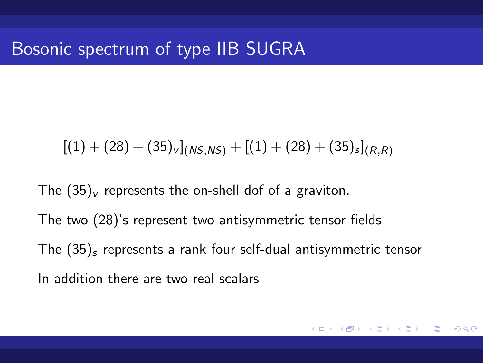## Bosonic spectrum of type IIB SUGRA

 $[(1) + (28) + (35)_v]_{(NS,NS)} + [(1) + (28) + (35)_s]_{(R,R)}$ 

The  $(35)_v$  represents the on-shell dof of a graviton. The two (28)'s represent two antisymmetric tensor fields The (35)*<sup>s</sup>* represents a rank four self-dual antisymmetric tensor In addition there are two real scalars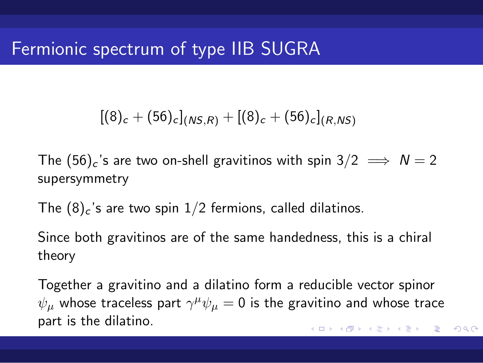## Fermionic spectrum of type IIB SUGRA

$$
[(8)_c + (56)_c]_{(NS,R)} + [(8)_c + (56)_c]_{(R,NS)}
$$

The  $(56)_c$ 's are two on-shell gravitinos with spin  $3/2 \implies N = 2$ supersymmetry

The  $(8)_c$ 's are two spin  $1/2$  fermions, called dilatinos.

Since both gravitinos are of the same handedness, this is a chiral theory

Together a gravitino and a dilatino form a reducible vector spinor  $\psi_{\mu}$  whose traceless part  $\gamma^{\mu}\psi_{\mu}=0$  is the gravitino and whose trace part is the dilatino.

. . . . . . . . . . . . . . . . . . . . . . . . . . . . . . . . . . . . . . .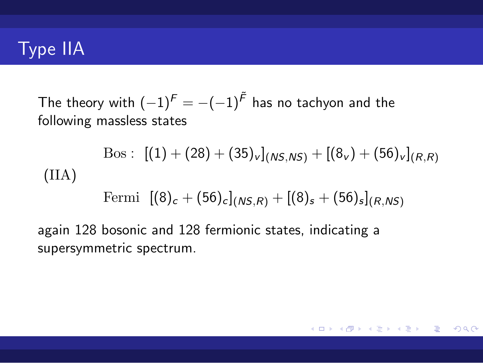## Type IIA

The theory with  $(-1)^F = -(-1)^{\tilde{F}}$  has no tachyon and the following massless states

$$
\text{Bos}: \; [(1) + (28) + (35)_v]_{(NS,NS)} + [(8_v) + (56)_v]_{(R,R)}
$$
\n(IIA)

Fermi  $[(8)_c + (56)_c]_{(NS,R)} + [(8)_s + (56)_s]_{(R,NS)}$ 

again 128 bosonic and 128 fermionic states, indicating a supersymmetric spectrum.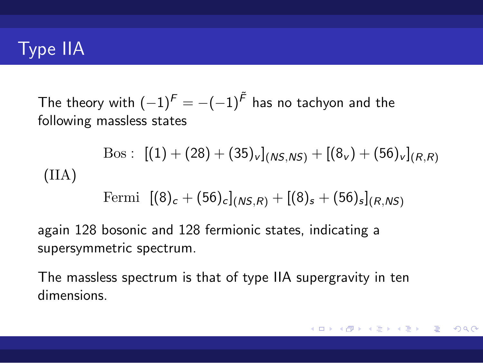## Type IIA

The theory with  $(-1)^F = -(-1)^{\tilde{F}}$  has no tachyon and the following massless states

$$
\text{Bos}: \; [(1) + (28) + (35)_v]_{(NS,NS)} + [(8_v) + (56)_v]_{(R,R)}
$$
\n
$$
(IIA)
$$

Fermi  $[(8)_c + (56)_c]_{(NS,R)} + [(8)_s + (56)_s]_{(R,NS)}$ 

again 128 bosonic and 128 fermionic states, indicating a supersymmetric spectrum.

The massless spectrum is that of type IIA supergravity in ten dimensions.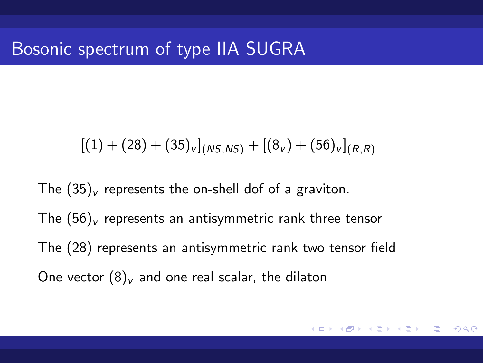## Bosonic spectrum of type IIA SUGRA

 $[(1) + (28) + (35)_v]$ <sub>(*NS,NS*) +  $[(8_v) + (56)_v]$ <sub>(*R,R*)</sub></sub>

The  $(35)_v$  represents the on-shell dof of a graviton. The  $(56)_v$  represents an antisymmetric rank three tensor The (28) represents an antisymmetric rank two tensor field One vector  $(8)_v$  and one real scalar, the dilaton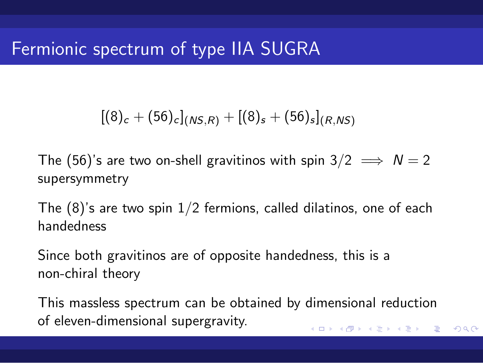# Fermionic spectrum of type IIA SUGRA

$$
[(8)_c + (56)_c]_{(NS,R)} + [(8)_s + (56)_s]_{(R,NS)}
$$

The (56)'s are two on-shell gravitinos with spin  $3/2 \implies N = 2$ supersymmetry

The  $(8)'$ s are two spin  $1/2$  fermions, called dilatinos, one of each handedness

Since both gravitinos are of opposite handedness, this is a non-chiral theory

. . . . . . . . . . . . . . . . . . . . . . . . . . . . . . . . . . . . . . . This massless spectrum can be obtained by dimensional reduction of eleven-dimensional supergravity.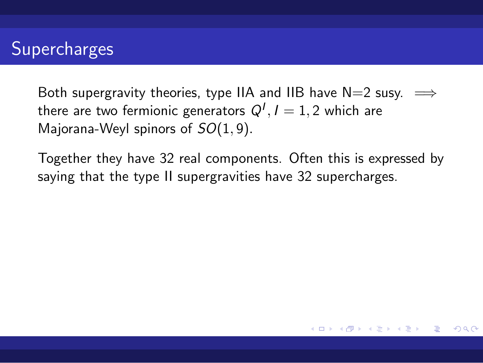# Supercharges

Both supergravity theories, type IIA and IIB have N=2 susy. =*⇒* there are two fermionic generators  $Q^I, I=1,2$  which are Majorana-Weyl spinors of *SO*(1*,* 9)*.*

Together they have 32 real components. Often this is expressed by saying that the type II supergravities have 32 supercharges.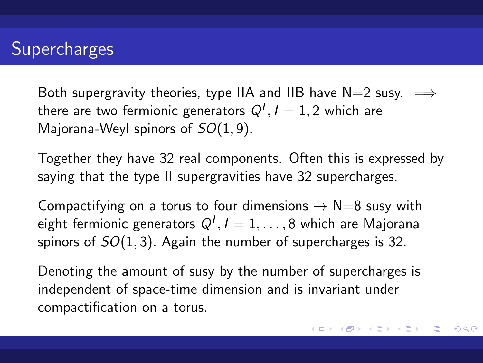#### **Supercharges**

Both supergravity theories, type IIA and IIB have N=2 susy.  $\implies$ there are two fermionic generators  $Q^I, I=1,2$  which are Majorana-Weyl spinors of *SO*(1*,* 9)*.*

Together they have 32 real components. Often this is expressed by saying that the type II supergravities have 32 supercharges.

Compactifying on a torus to four dimensions  $→$  N=8 susy with eight fermionic generators *Q<sup>I</sup> , I* = 1*, . . . ,* 8 which are Majorana spinors of *SO*(1*,* 3)*.* Again the number of supercharges is 32.

Denoting the amount of susy by the number of supercharges is independent of space-time dimension and is invariant under compactification on a torus.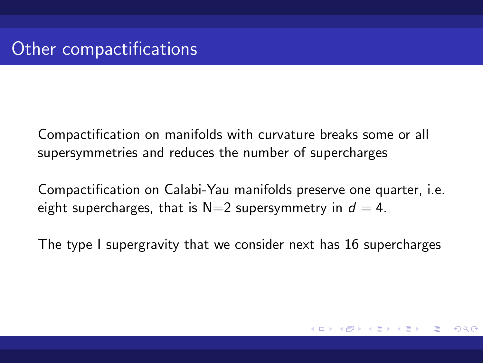# Other compactifications

Compactification on manifolds with curvature breaks some or all supersymmetries and reduces the number of supercharges

Compactification on Calabi-Yau manifolds preserve one quarter, i.e. eight supercharges, that is  $N=2$  supersymmetry in  $d=4$ .

The type I supergravity that we consider next has 16 supercharges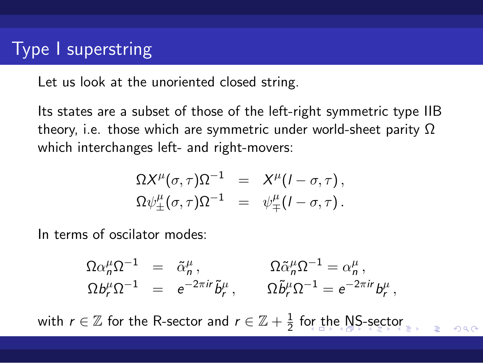### Type I superstring

Let us look at the unoriented closed string.

Its states are a subset of those of the left-right symmetric type IIB theory, i.e. those which are symmetric under world-sheet parity  $\Omega$ which interchanges left- and right-movers:

$$
\Omega X^{\mu}(\sigma, \tau) \Omega^{-1} = X^{\mu} (I - \sigma, \tau),
$$
  

$$
\Omega \psi_{\pm}^{\mu}(\sigma, \tau) \Omega^{-1} = \psi_{\mp}^{\mu} (I - \sigma, \tau).
$$

In terms of oscilator modes:

 $\Omega \alpha_n^{\mu} \Omega^{-1} = \tilde{\alpha}_n^{\mu},$   $\Omega \tilde{\alpha}_n^{\mu} \Omega^{-1} = \alpha_n^{\mu},$  $\Omega b_r^\mu \Omega^{-1} \;\;=\;\; e^{-2\pi i r} \tilde b_r^\mu \,, \qquad \Omega \tilde b_r^\mu \Omega^{-1} = e^{-2\pi i r} b_r^\mu \,,$ 

with  $r \in \mathbb{Z}$  for the R-sector and  $r \in \mathbb{Z} + \frac{1}{2}$  for the NS-sector  $\frac{1}{2}$ ,  $\frac{1}{2}$  and  $\frac{1}{2}$  for the NS-sector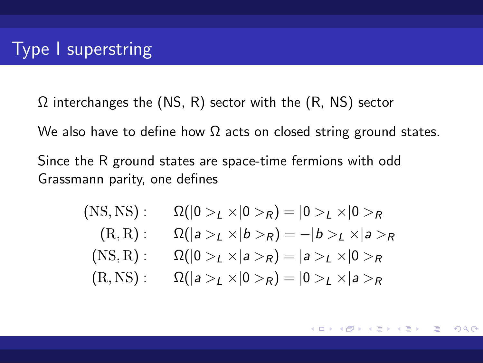## Type I superstring

 $\Omega$  interchanges the (NS, R) sector with the (R, NS) sector

We also have to define how  $\Omega$  acts on closed string ground states.

Since the R ground states are space-time fermions with odd Grassmann parity, one defines

> $(RSS, NS):$   $\Omega(|0 > L \times |0 > R) = |0 > L \times |0 > R$  $(R, R): \Omega(|a>L\times|b>R) = -|b>L\times|a>R)$  $(RS, R): \Omega(|0 > L \times |a > R) = |a > L \times |0 > R$  $(R, NS): \Omega(|a>L\times|0>R)=|0>L\times|a>R$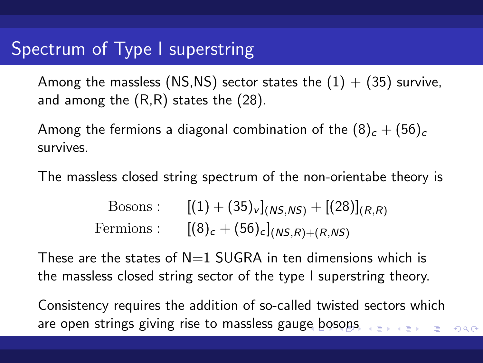## Spectrum of Type I superstring

Among the massless (NS,NS) sector states the  $(1) + (35)$  survive, and among the (R,R) states the (28).

Among the fermions a diagonal combination of the  $(8)_c + (56)_c$ survives.

The massless closed string spectrum of the non-orientabe theory is

Bosons :  $[(1) + (35)_v]$ <sub>(*NS*</sub>*NS*) + [(28)]<sub>(*R,R*)</sub> Fermions :  $[(8)_c + (56)_c]$ <sub>(*NS,R*)+(*R,NS*)</sub>

These are the states of  $N=1$  SUGRA in ten dimensions which is the massless closed string sector of the type I superstring theory.

are open strings giving rise to massless gauge boso<mark>n</mark>s  $\mathbf{E} \mapsto \mathbf{E} \mapsto \mathbf{E} \in \mathcal{P}$ Consistency requires the addition of so-called twisted sectors which